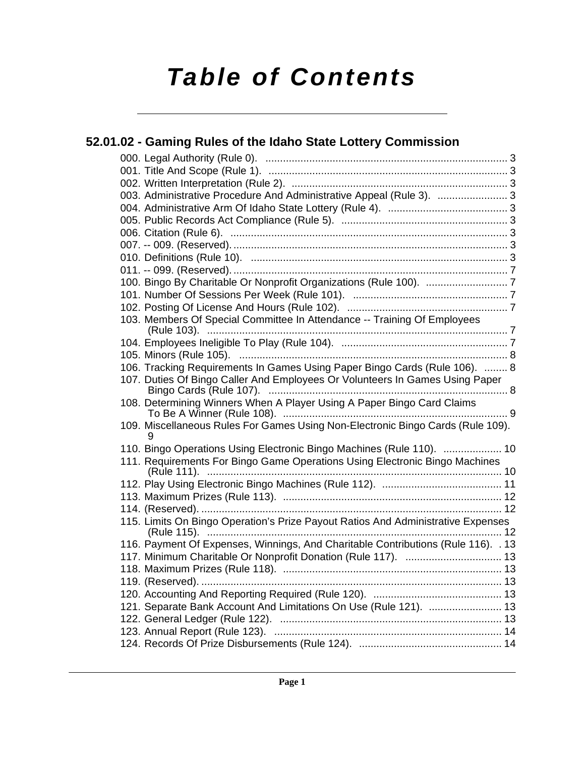# *Table of Contents*

|  | 52.01.02 - Gaming Rules of the Idaho State Lottery Commission                        |  |
|--|--------------------------------------------------------------------------------------|--|
|  |                                                                                      |  |
|  |                                                                                      |  |
|  |                                                                                      |  |
|  | 003. Administrative Procedure And Administrative Appeal (Rule 3).  3                 |  |
|  |                                                                                      |  |
|  |                                                                                      |  |
|  |                                                                                      |  |
|  |                                                                                      |  |
|  |                                                                                      |  |
|  |                                                                                      |  |
|  |                                                                                      |  |
|  |                                                                                      |  |
|  |                                                                                      |  |
|  | 103. Members Of Special Committee In Attendance -- Training Of Employees             |  |
|  |                                                                                      |  |
|  |                                                                                      |  |
|  | 106. Tracking Requirements In Games Using Paper Bingo Cards (Rule 106).  8           |  |
|  | 107. Duties Of Bingo Caller And Employees Or Volunteers In Games Using Paper         |  |
|  | 108. Determining Winners When A Player Using A Paper Bingo Card Claims               |  |
|  | 109. Miscellaneous Rules For Games Using Non-Electronic Bingo Cards (Rule 109).<br>9 |  |
|  | 110. Bingo Operations Using Electronic Bingo Machines (Rule 110).  10                |  |
|  | 111. Requirements For Bingo Game Operations Using Electronic Bingo Machines          |  |
|  |                                                                                      |  |
|  |                                                                                      |  |
|  |                                                                                      |  |
|  | 115. Limits On Bingo Operation's Prize Payout Ratios And Administrative Expenses     |  |
|  | 116. Payment Of Expenses, Winnings, And Charitable Contributions (Rule 116). . 13    |  |
|  |                                                                                      |  |
|  |                                                                                      |  |
|  | 119. (Reserved).                                                                     |  |
|  |                                                                                      |  |
|  | 121. Separate Bank Account And Limitations On Use (Rule 121).  13                    |  |
|  |                                                                                      |  |
|  |                                                                                      |  |
|  |                                                                                      |  |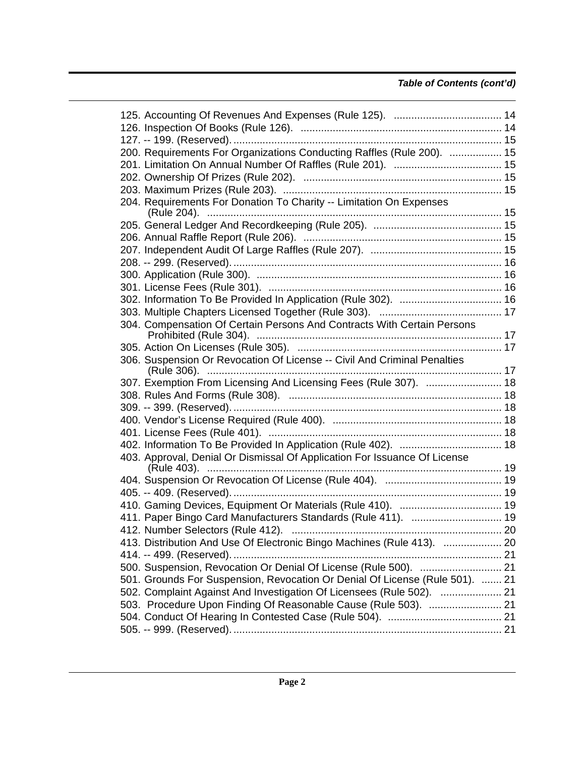# *Table of Contents (cont'd)*

| 200. Requirements For Organizations Conducting Raffles (Rule 200).  15       |  |
|------------------------------------------------------------------------------|--|
|                                                                              |  |
|                                                                              |  |
|                                                                              |  |
| 204. Requirements For Donation To Charity -- Limitation On Expenses          |  |
|                                                                              |  |
|                                                                              |  |
|                                                                              |  |
|                                                                              |  |
|                                                                              |  |
|                                                                              |  |
|                                                                              |  |
|                                                                              |  |
|                                                                              |  |
| 304. Compensation Of Certain Persons And Contracts With Certain Persons      |  |
|                                                                              |  |
| 306. Suspension Or Revocation Of License -- Civil And Criminal Penalties     |  |
|                                                                              |  |
| 307. Exemption From Licensing And Licensing Fees (Rule 307).  18             |  |
|                                                                              |  |
|                                                                              |  |
|                                                                              |  |
|                                                                              |  |
|                                                                              |  |
| 403. Approval, Denial Or Dismissal Of Application For Issuance Of License    |  |
|                                                                              |  |
|                                                                              |  |
|                                                                              |  |
| 410. Gaming Devices, Equipment Or Materials (Rule 410).  19                  |  |
| 411. Paper Bingo Card Manufacturers Standards (Rule 411).  19                |  |
| 412. Number Selectors (Rule 412).                                            |  |
| 413. Distribution And Use Of Electronic Bingo Machines (Rule 413).  20       |  |
|                                                                              |  |
| 500. Suspension, Revocation Or Denial Of License (Rule 500).  21             |  |
| 501. Grounds For Suspension, Revocation Or Denial Of License (Rule 501).  21 |  |
| 502. Complaint Against And Investigation Of Licensees (Rule 502).  21        |  |
| 503. Procedure Upon Finding Of Reasonable Cause (Rule 503).  21              |  |
|                                                                              |  |
|                                                                              |  |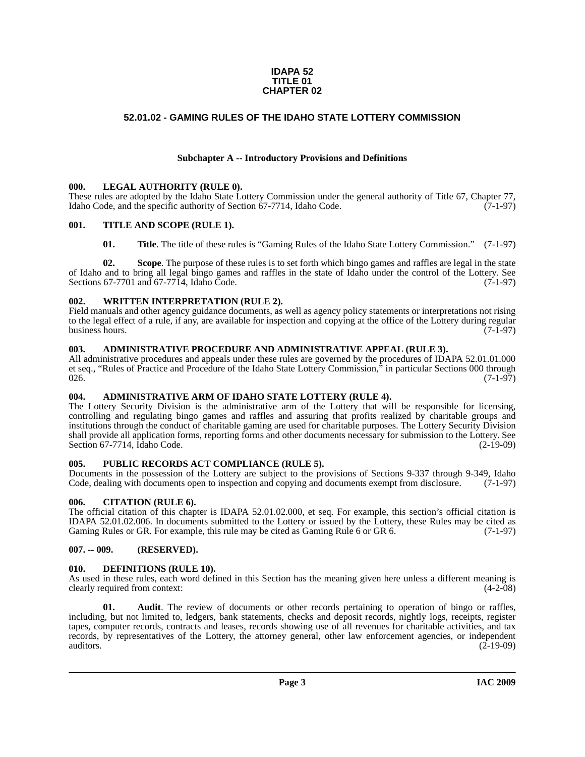#### **IDAPA 52 TITLE 01 CHAPTER 02**

# <span id="page-2-0"></span>**52.01.02 - GAMING RULES OF THE IDAHO STATE LOTTERY COMMISSION**

# **Subchapter A -- Introductory Provisions and Definitions**

#### <span id="page-2-1"></span>**000. LEGAL AUTHORITY (RULE 0).**

These rules are adopted by the Idaho State Lottery Commission under the general authority of Title 67, Chapter 77, Idaho Code, and the specific authority of Section 67-7714, Idaho Code. (7-1-97)

#### <span id="page-2-2"></span>**001. TITLE AND SCOPE (RULE 1).**

**01.** Title. The title of these rules is "Gaming Rules of the Idaho State Lottery Commission." (7-1-97)

**02. Scope**. The purpose of these rules is to set forth which bingo games and raffles are legal in the state of Idaho and to bring all legal bingo games and raffles in the state of Idaho under the control of the Lottery. See Sections  $67-7701$  and  $67-7714$ , Idaho Code.

#### <span id="page-2-3"></span>**002. WRITTEN INTERPRETATION (RULE 2).**

Field manuals and other agency guidance documents, as well as agency policy statements or interpretations not rising to the legal effect of a rule, if any, are available for inspection and copying at the office of the Lottery during regular<br>(7-1-97) business hours.

### <span id="page-2-4"></span>**003. ADMINISTRATIVE PROCEDURE AND ADMINISTRATIVE APPEAL (RULE 3).**

All administrative procedures and appeals under these rules are governed by the procedures of IDAPA 52.01.01.000 et seq., "Rules of Practice and Procedure of the Idaho State Lottery Commission," in particular Sections 000 through  $026.$  (7-1-97)

### <span id="page-2-10"></span><span id="page-2-5"></span>**004. ADMINISTRATIVE ARM OF IDAHO STATE LOTTERY (RULE 4).**

The Lottery Security Division is the administrative arm of the Lottery that will be responsible for licensing, controlling and regulating bingo games and raffles and assuring that profits realized by charitable groups and institutions through the conduct of charitable gaming are used for charitable purposes. The Lottery Security Division shall provide all application forms, reporting forms and other documents necessary for submission to the Lottery. See Section 67-7714, Idaho Code.

### <span id="page-2-6"></span>**005. PUBLIC RECORDS ACT COMPLIANCE (RULE 5).**

Documents in the possession of the Lottery are subject to the provisions of Sections 9-337 through 9-349, Idaho Code, dealing with documents open to inspection and copying and documents exempt from disclosure. (7-1-97) Code, dealing with documents open to inspection and copying and documents exempt from disclosure.

### <span id="page-2-7"></span>**006. CITATION (RULE 6).**

The official citation of this chapter is IDAPA 52.01.02.000, et seq. For example, this section's official citation is IDAPA 52.01.02.006. In documents submitted to the Lottery or issued by the Lottery, these Rules may be cited as Gaming Rules or GR. For example, this rule may be cited as Gaming Rule 6 or GR 6. (7-1-97) Gaming Rules or GR. For example, this rule may be cited as Gaming Rule 6 or GR 6.

### <span id="page-2-8"></span>**007. -- 009. (RESERVED).**

#### <span id="page-2-12"></span><span id="page-2-9"></span>**010. DEFINITIONS (RULE 10).**

As used in these rules, each word defined in this Section has the meaning given here unless a different meaning is clearly required from context: (4-2-08) clearly required from context:

<span id="page-2-11"></span>**01. Audit**. The review of documents or other records pertaining to operation of bingo or raffles, including, but not limited to, ledgers, bank statements, checks and deposit records, nightly logs, receipts, register tapes, computer records, contracts and leases, records showing use of all revenues for charitable activities, and tax records, by representatives of the Lottery, the attorney general, other law enforcement agencies, or independent auditors.  $(2-19-09)$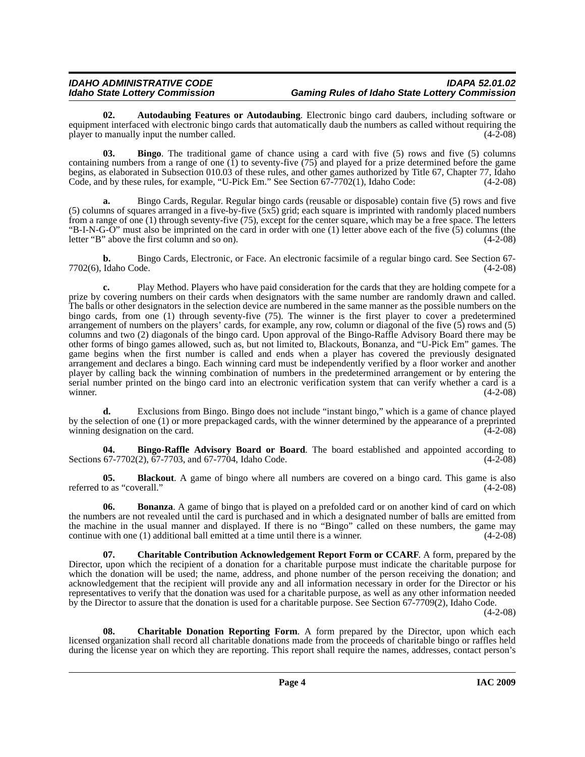#### *IDAHO ADMINISTRATIVE CODE IDAPA 52.01.02 Idaho State Lottery Commission Gaming Rules of Idaho State Lottery Commission*

<span id="page-3-0"></span>**02. Autodaubing Features or Autodaubing**. Electronic bingo card daubers, including software or equipment interfaced with electronic bingo cards that automatically daub the numbers as called without requiring the player to manually input the number called. (4-2-08)

<span id="page-3-1"></span>**03. Bingo**. The traditional game of chance using a card with five (5) rows and five (5) columns containing numbers from a range of one (1) to seventy-five (75) and played for a prize determined before the game begins, as elaborated in Subsection 010.03 of these rules, and other games authorized by Title 67, Chapter 77, Idaho Code, and by these rules, for example, "U-Pick Em." See Section 67-7702(1), Idaho Code: (4-2-08)

**a.** Bingo Cards, Regular. Regular bingo cards (reusable or disposable) contain five (5) rows and five (5) columns of squares arranged in a five-by-five (5x5) grid; each square is imprinted with randomly placed numbers from a range of one (1) through seventy-five (75), except for the center square, which may be a free space. The letters "B-I-N-G-O" must also be imprinted on the card in order with one (1) letter above each of the five (5) columns (the letter "B" above the first column and so on). (4-2-08)

**b.** Bingo Cards, Electronic, or Face. An electronic facsimile of a regular bingo card. See Section 67-<br>Idaho Code. (4-2-08) 7702(6), Idaho Code.

**c.** Play Method. Players who have paid consideration for the cards that they are holding compete for a prize by covering numbers on their cards when designators with the same number are randomly drawn and called. The balls or other designators in the selection device are numbered in the same manner as the possible numbers on the bingo cards, from one (1) through seventy-five (75). The winner is the first player to cover a predetermined arrangement of numbers on the players' cards, for example, any row, column or diagonal of the five (5) rows and (5) columns and two (2) diagonals of the bingo card. Upon approval of the Bingo-Raffle Advisory Board there may be other forms of bingo games allowed, such as, but not limited to, Blackouts, Bonanza, and "U-Pick Em" games. The game begins when the first number is called and ends when a player has covered the previously designated arrangement and declares a bingo. Each winning card must be independently verified by a floor worker and another player by calling back the winning combination of numbers in the predetermined arrangement or by entering the serial number printed on the bingo card into an electronic verification system that can verify whether a card is a winner. (4-2-08)

**d.** Exclusions from Bingo. Bingo does not include "instant bingo," which is a game of chance played by the selection of one (1) or more prepackaged cards, with the winner determined by the appearance of a preprinted winning designation on the card.  $(4-2-08)$ 

<span id="page-3-2"></span>**04. Bingo-Raffle Advisory Board or Board**. The board established and appointed according to 67-7702(2), 67-7703, and 67-7704, Idaho Code. Sections  $67-7702(2)$ ,  $67-7703$ , and  $67-7704$ , Idaho Code.

<span id="page-3-3"></span>**05. Blackout**. A game of bingo where all numbers are covered on a bingo card. This game is also to as "coverall." (4-2-08) referred to as "coverall."

<span id="page-3-4"></span>**06. Bonanza**. A game of bingo that is played on a prefolded card or on another kind of card on which the numbers are not revealed until the card is purchased and in which a designated number of balls are emitted from the machine in the usual manner and displayed. If there is no "Bingo" called on these numbers, the game may continue with one (1) additional ball emitted at a time until there is a winner.  $(4-2-08)$ 

<span id="page-3-5"></span>**07. Charitable Contribution Acknowledgement Report Form or CCARF**. A form, prepared by the Director, upon which the recipient of a donation for a charitable purpose must indicate the charitable purpose for which the donation will be used; the name, address, and phone number of the person receiving the donation; and acknowledgement that the recipient will provide any and all information necessary in order for the Director or his representatives to verify that the donation was used for a charitable purpose, as well as any other information needed by the Director to assure that the donation is used for a charitable purpose. See Section 67-7709(2), Idaho Code.

(4-2-08)

<span id="page-3-6"></span>**08. Charitable Donation Reporting Form**. A form prepared by the Director, upon which each licensed organization shall record all charitable donations made from the proceeds of charitable bingo or raffles held during the license year on which they are reporting. This report shall require the names, addresses, contact person's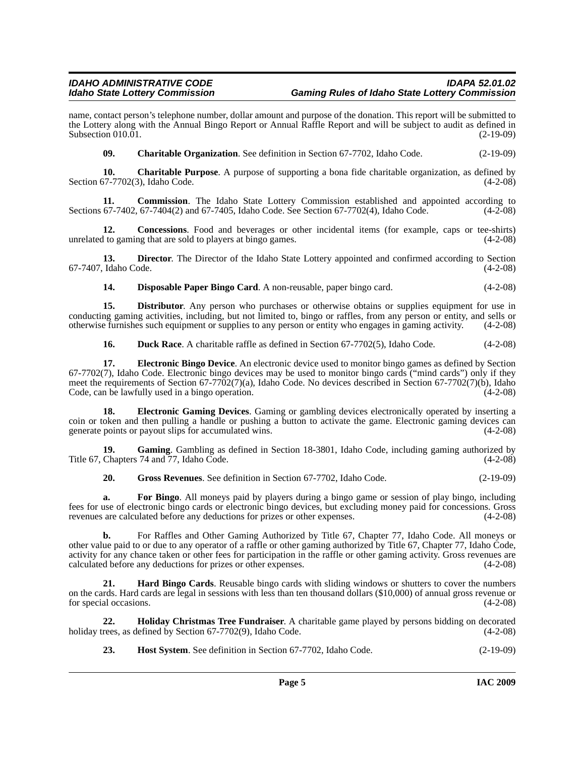# *IDAHO ADMINISTRATIVE CODE IDAPA 52.01.02 Idaho State Lottery Commission Gaming Rules of Idaho State Lottery Commission*

name, contact person's telephone number, dollar amount and purpose of the donation. This report will be submitted to the Lottery along with the Annual Bingo Report or Annual Raffle Report and will be subject to audit as defined in Subsection 010.01. (2-19-09)

<span id="page-4-1"></span><span id="page-4-0"></span>**09. Charitable Organization**. See definition in Section 67-7702, Idaho Code. (2-19-09)

**10. Charitable Purpose**. A purpose of supporting a bona fide charitable organization, as defined by Section  $67-7702(3)$ , Idaho Code.

**11. Commission**. The Idaho State Lottery Commission established and appointed according to Sections 67-7402, 67-7404(2) and 67-7405, Idaho Code. See Section 67-7702(4), Idaho Code. (4-2-08)

**12. Concessions**. Food and beverages or other incidental items (for example, caps or tee-shirts) unrelated to gaming that are sold to players at bingo games. (4-2-08)

**13. Director**. The Director of the Idaho State Lottery appointed and confirmed according to Section Idaho Code. (4-2-08) 67-7407, Idaho Code.

<span id="page-4-2"></span>**14. Disposable Paper Bingo Card**. A non-reusable, paper bingo card. (4-2-08)

**15. Distributor**. Any person who purchases or otherwise obtains or supplies equipment for use in conducting gaming activities, including, but not limited to, bingo or raffles, from any person or entity, and sells or otherwise furnishes such equipment or supplies to any person or entity who engages in gaming activity. otherwise furnishes such equipment or supplies to any person or entity who engages in gaming activity. (4-2-08)

<span id="page-4-5"></span><span id="page-4-4"></span><span id="page-4-3"></span>**16. Duck Race**. A charitable raffle as defined in Section 67-7702(5), Idaho Code. (4-2-08)

**17. Electronic Bingo Device**. An electronic device used to monitor bingo games as defined by Section 67-7702(7), Idaho Code. Electronic bingo devices may be used to monitor bingo cards ("mind cards") only if they meet the requirements of Section 67-7702(7)(a), Idaho Code. No devices described in Section 67-7702(7)(b), Idaho Code, can be lawfully used in a bingo operation. (4-2-08)

**18. Electronic Gaming Devices**. Gaming or gambling devices electronically operated by inserting a coin or token and then pulling a handle or pushing a button to activate the game. Electronic gaming devices can generate points or payout slips for accumulated wins. (4-2-08)

**19.** Gaming. Gambling as defined in Section 18-3801, Idaho Code, including gaming authorized by Chapters 74 and 77. Idaho Code. Title  $67$ , Chapters  $74$  and  $77$ , Idaho Code.

<span id="page-4-6"></span>**20. Gross Revenues**. See definition in Section 67-7702, Idaho Code. (2-19-09)

**a. For Bingo**. All moneys paid by players during a bingo game or session of play bingo, including fees for use of electronic bingo cards or electronic bingo devices, but excluding money paid for concessions. Gross revenues are calculated before any deductions for prizes or other expenses. (4-2-08)

**b.** For Raffles and Other Gaming Authorized by Title 67, Chapter 77, Idaho Code. All moneys or other value paid to or due to any operator of a raffle or other gaming authorized by Title 67, Chapter 77, Idaho Code, activity for any chance taken or other fees for participation in the raffle or other gaming activity. Gross revenues are calculated before any deductions for prizes or other expenses. (4-2-08)

<span id="page-4-7"></span>**21. Hard Bingo Cards**. Reusable bingo cards with sliding windows or shutters to cover the numbers on the cards. Hard cards are legal in sessions with less than ten thousand dollars (\$10,000) of annual gross revenue or for special occasions. (4-2-08)

**22. Holiday Christmas Tree Fundraiser**. A charitable game played by persons bidding on decorated rees, as defined by Section 67-7702(9), Idaho Code. (4-2-08) holiday trees, as defined by Section  $67-7702(9)$ , Idaho Code.

<span id="page-4-8"></span>**23.** Host System. See definition in Section 67-7702, Idaho Code. (2-19-09)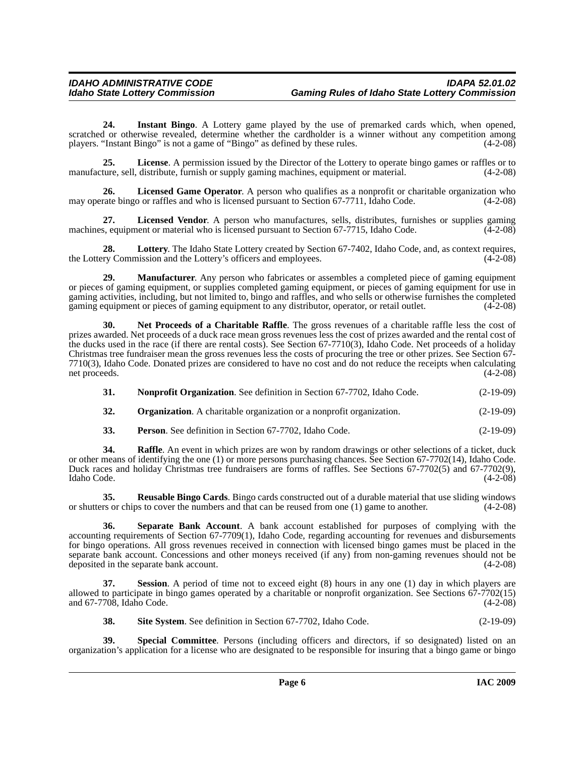<span id="page-5-0"></span>**24. Instant Bingo**. A Lottery game played by the use of premarked cards which, when opened, scratched or otherwise revealed, determine whether the cardholder is a winner without any competition among players. "Instant Bingo" is not a game of "Bingo" as defined by these rules. (4-2-08) players. "Instant Bingo" is not a game of "Bingo" as defined by these rules.

<span id="page-5-1"></span>**25. License**. A permission issued by the Director of the Lottery to operate bingo games or raffles or to ture, sell, distribute, furnish or supply gaming machines, equipment or material. (4-2-08) manufacture, sell, distribute, furnish or supply gaming machines, equipment or material.

<span id="page-5-2"></span>**26. Licensed Game Operator**. A person who qualifies as a nonprofit or charitable organization who may operate bingo or raffles and who is licensed pursuant to Section 67-7711, Idaho Code. (4-2-08)

<span id="page-5-3"></span>**27.** Licensed Vendor. A person who manufactures, sells, distributes, furnishes or supplies gaming s, equipment or material who is licensed pursuant to Section 67-7715, Idaho Code. (4-2-08) machines, equipment or material who is licensed pursuant to Section 67-7715, Idaho Code.

<span id="page-5-4"></span>**28.** Lottery. The Idaho State Lottery created by Section 67-7402, Idaho Code, and, as context requires, ry Commission and the Lottery's officers and employees. (4-2-08) the Lottery Commission and the Lottery's officers and employees.

<span id="page-5-5"></span>**29. Manufacturer**. Any person who fabricates or assembles a completed piece of gaming equipment or pieces of gaming equipment, or supplies completed gaming equipment, or pieces of gaming equipment for use in gaming activities, including, but not limited to, bingo and raffles, and who sells or otherwise furnishes the completed gaming equipment or pieces of gaming equipment to any distributor, operator, or retail outlet. (4-2-08)

<span id="page-5-6"></span>**30. Net Proceeds of a Charitable Raffle**. The gross revenues of a charitable raffle less the cost of prizes awarded. Net proceeds of a duck race mean gross revenues less the cost of prizes awarded and the rental cost of the ducks used in the race (if there are rental costs). See Section 67-7710(3), Idaho Code. Net proceeds of a holiday Christmas tree fundraiser mean the gross revenues less the costs of procuring the tree or other prizes. See Section 67- 7710(3), Idaho Code. Donated prizes are considered to have no cost and do not reduce the receipts when calculating net proceeds.

<span id="page-5-8"></span><span id="page-5-7"></span>**31. Nonprofit Organization**. See definition in Section 67-7702, Idaho Code. (2-19-09)

**32. Organization**. A charitable organization or a nonprofit organization. (2-19-09)

<span id="page-5-9"></span>**33. Person**. See definition in Section 67-7702, Idaho Code. (2-19-09)

**34.** Raffle. An event in which prizes are won by random drawings or other selections of a ticket, duck or other means of identifying the one (1) or more persons purchasing chances. See Section 67-7702(14), Idaho Code. Duck races and holiday Christmas tree fundraisers are forms of raffles. See Sections 67-7702(5) and 67-7702(9), Idaho Code. (4-2-08)

<span id="page-5-10"></span>**35. Reusable Bingo Cards**. Bingo cards constructed out of a durable material that use sliding windows or shutters or chips to cover the numbers and that can be reused from one (1) game to another. (4-2-08)

<span id="page-5-11"></span>**36. Separate Bank Account**. A bank account established for purposes of complying with the accounting requirements of Section 67-7709(1), Idaho Code, regarding accounting for revenues and disbursements for bingo operations. All gross revenues received in connection with licensed bingo games must be placed in the separate bank account. Concessions and other moneys received (if any) from non-gaming revenues should not be deposited in the separate bank account. (4-2-08)

**Session**. A period of time not to exceed eight (8) hours in any one (1) day in which players are allowed to participate in bingo games operated by a charitable or nonprofit organization. See Sections 67-7702(15) and 67-7708, Idaho Code. (4-2-08)

<span id="page-5-14"></span><span id="page-5-13"></span><span id="page-5-12"></span>**38.** Site System. See definition in Section 67-7702, Idaho Code. (2-19-09)

**39. Special Committee**. Persons (including officers and directors, if so designated) listed on an organization's application for a license who are designated to be responsible for insuring that a bingo game or bingo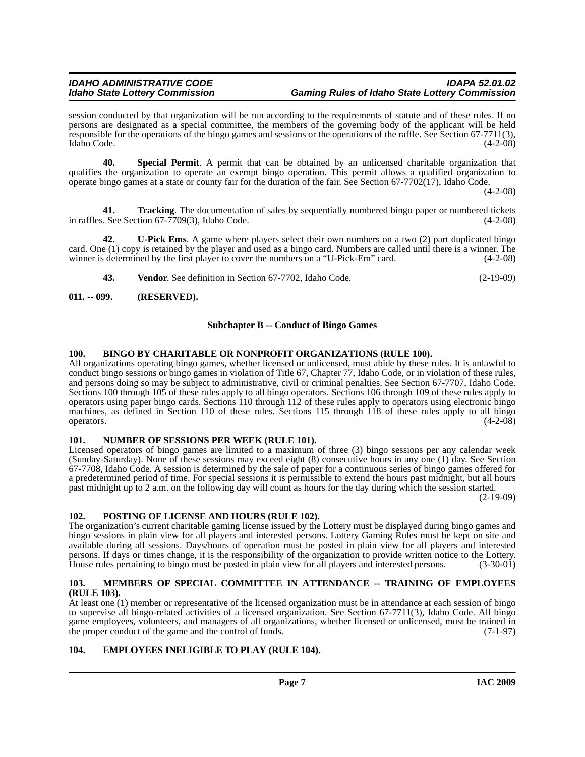session conducted by that organization will be run according to the requirements of statute and of these rules. If no persons are designated as a special committee, the members of the governing body of the applicant will be held responsible for the operations of the bingo games and sessions or the operations of the raffle. See Section 67-7711(3), Idaho Code. (4-2-08) Idaho Code. (4-2-08)

<span id="page-6-11"></span>**40. Special Permit**. A permit that can be obtained by an unlicensed charitable organization that qualifies the organization to operate an exempt bingo operation. This permit allows a qualified organization to operate bingo games at a state or county fair for the duration of the fair. See Section 67-7702(17), Idaho Code.

 $(4-2-08)$ 

<span id="page-6-12"></span>**41. Tracking**. The documentation of sales by sequentially numbered bingo paper or numbered tickets in raffles. See Section 67-7709(3), Idaho Code. (4-2-08)

**42. U-Pick Ems**. A game where players select their own numbers on a two (2) part duplicated bingo card. One (1) copy is retained by the player and used as a bingo card. Numbers are called until there is a winner. The winner is determined by the first player to cover the numbers on a "U-Pick-Em" card.  $(4-2-08)$ 

<span id="page-6-14"></span><span id="page-6-13"></span>**43. Vendor**. See definition in Section 67-7702, Idaho Code. (2-19-09)

### <span id="page-6-0"></span>**011. -- 099. (RESERVED).**

### **Subchapter B -- Conduct of Bingo Games**

### <span id="page-6-6"></span><span id="page-6-1"></span>**100. BINGO BY CHARITABLE OR NONPROFIT ORGANIZATIONS (RULE 100).**

All organizations operating bingo games, whether licensed or unlicensed, must abide by these rules. It is unlawful to conduct bingo sessions or bingo games in violation of Title 67, Chapter 77, Idaho Code, or in violation of these rules, and persons doing so may be subject to administrative, civil or criminal penalties. See Section 67-7707, Idaho Code. Sections 100 through 105 of these rules apply to all bingo operators. Sections 106 through 109 of these rules apply to operators using paper bingo cards. Sections 110 through 112 of these rules apply to operators using electronic bingo machines, as defined in Section 110 of these rules. Sections 115 through 118 of these rules apply to all bingo operators.  $(4-2-08)$ 

### <span id="page-6-9"></span><span id="page-6-2"></span>**101. NUMBER OF SESSIONS PER WEEK (RULE 101).**

Licensed operators of bingo games are limited to a maximum of three (3) bingo sessions per any calendar week (Sunday-Saturday). None of these sessions may exceed eight (8) consecutive hours in any one (1) day. See Section 67-7708, Idaho Code. A session is determined by the sale of paper for a continuous series of bingo games offered for a predetermined period of time. For special sessions it is permissible to extend the hours past midnight, but all hours past midnight up to 2 a.m. on the following day will count as hours for the day during which the session started.

(2-19-09)

### <span id="page-6-10"></span><span id="page-6-3"></span>**102. POSTING OF LICENSE AND HOURS (RULE 102).**

The organization's current charitable gaming license issued by the Lottery must be displayed during bingo games and bingo sessions in plain view for all players and interested persons. Lottery Gaming Rules must be kept on site and available during all sessions. Days/hours of operation must be posted in plain view for all players and interested persons. If days or times change, it is the responsibility of the organization to provide written notice to the Lottery. House rules pertaining to bingo must be posted in plain view for all players and interested persons. (3-30-01)

#### <span id="page-6-8"></span><span id="page-6-4"></span>**103. MEMBERS OF SPECIAL COMMITTEE IN ATTENDANCE -- TRAINING OF EMPLOYEES (RULE 103).**

At least one (1) member or representative of the licensed organization must be in attendance at each session of bingo to supervise all bingo-related activities of a licensed organization. See Section 67-7711(3), Idaho Code. All bingo game employees, volunteers, and managers of all organizations, whether licensed or unlicensed, must be trained in the proper conduct of the game and the control of funds. (7-1-97) the proper conduct of the game and the control of funds.

### <span id="page-6-7"></span><span id="page-6-5"></span>**104. EMPLOYEES INELIGIBLE TO PLAY (RULE 104).**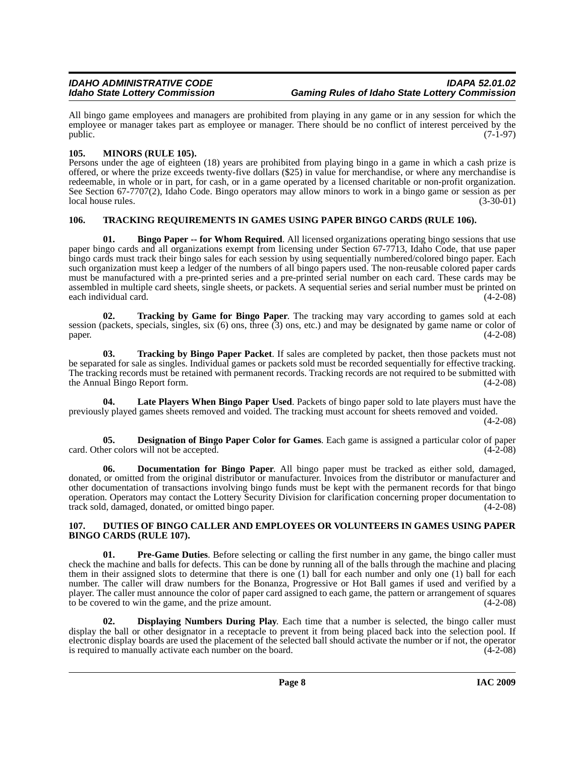All bingo game employees and managers are prohibited from playing in any game or in any session for which the employee or manager takes part as employee or manager. There should be no conflict of interest perceived by the public.  $(7-1-97)$ 

# <span id="page-7-9"></span><span id="page-7-0"></span>**105. MINORS (RULE 105).**

Persons under the age of eighteen (18) years are prohibited from playing bingo in a game in which a cash prize is offered, or where the prize exceeds twenty-five dollars (\$25) in value for merchandise, or where any merchandise is redeemable, in whole or in part, for cash, or in a game operated by a licensed charitable or non-profit organization. See Section 67-7707(2), Idaho Code. Bingo operators may allow minors to work in a bingo game or session as per local house rules. (3-30-01)

# <span id="page-7-13"></span><span id="page-7-1"></span>**106. TRACKING REQUIREMENTS IN GAMES USING PAPER BINGO CARDS (RULE 106).**

<span id="page-7-3"></span>**01.** Bingo Paper -- for Whom Required. All licensed organizations operating bingo sessions that use paper bingo cards and all organizations exempt from licensing under Section 67-7713, Idaho Code, that use paper bingo cards must track their bingo sales for each session by using sequentially numbered/colored bingo paper. Each such organization must keep a ledger of the numbers of all bingo papers used. The non-reusable colored paper cards must be manufactured with a pre-printed series and a pre-printed serial number on each card. These cards may be assembled in multiple card sheets, single sheets, or packets. A sequential series and serial number must be printed on each individual card. (4-2-08)

<span id="page-7-12"></span>**02. Tracking by Game for Bingo Paper**. The tracking may vary according to games sold at each session (packets, specials, singles, six (6) ons, three (3) ons, etc.) and may be designated by game name or color of  $paper.$  (4-2-08)

<span id="page-7-11"></span>**03. Tracking by Bingo Paper Packet**. If sales are completed by packet, then those packets must not be separated for sale as singles. Individual games or packets sold must be recorded sequentially for effective tracking. The tracking records must be retained with permanent records. Tracking records are not required to be submitted with the Annual Bingo Report form. (4-2-08)

<span id="page-7-8"></span>**04. Late Players When Bingo Paper Used**. Packets of bingo paper sold to late players must have the previously played games sheets removed and voided. The tracking must account for sheets removed and voided.

(4-2-08)

<span id="page-7-4"></span>**05. Designation of Bingo Paper Color for Games**. Each game is assigned a particular color of paper card. Other colors will not be accepted. (4-2-08)

<span id="page-7-6"></span>**06. Documentation for Bingo Paper**. All bingo paper must be tracked as either sold, damaged, donated, or omitted from the original distributor or manufacturer. Invoices from the distributor or manufacturer and other documentation of transactions involving bingo funds must be kept with the permanent records for that bingo operation. Operators may contact the Lottery Security Division for clarification concerning proper documentation to track sold, damaged, donated, or omitted bingo paper. (4-2-08)

### <span id="page-7-7"></span><span id="page-7-2"></span>**107. DUTIES OF BINGO CALLER AND EMPLOYEES OR VOLUNTEERS IN GAMES USING PAPER BINGO CARDS (RULE 107).**

<span id="page-7-10"></span>**01. Pre-Game Duties**. Before selecting or calling the first number in any game, the bingo caller must check the machine and balls for defects. This can be done by running all of the balls through the machine and placing them in their assigned slots to determine that there is one (1) ball for each number and only one (1) ball for each number. The caller will draw numbers for the Bonanza, Progressive or Hot Ball games if used and verified by a player. The caller must announce the color of paper card assigned to each game, the pattern or arrangement of squares to be covered to win the game, and the prize amount. (4-2-08)

<span id="page-7-5"></span>**02. Displaying Numbers During Play**. Each time that a number is selected, the bingo caller must display the ball or other designator in a receptacle to prevent it from being placed back into the selection pool. If electronic display boards are used the placement of the selected ball should activate the number or if not, the operator is required to manually activate each number on the board. (4-2-08)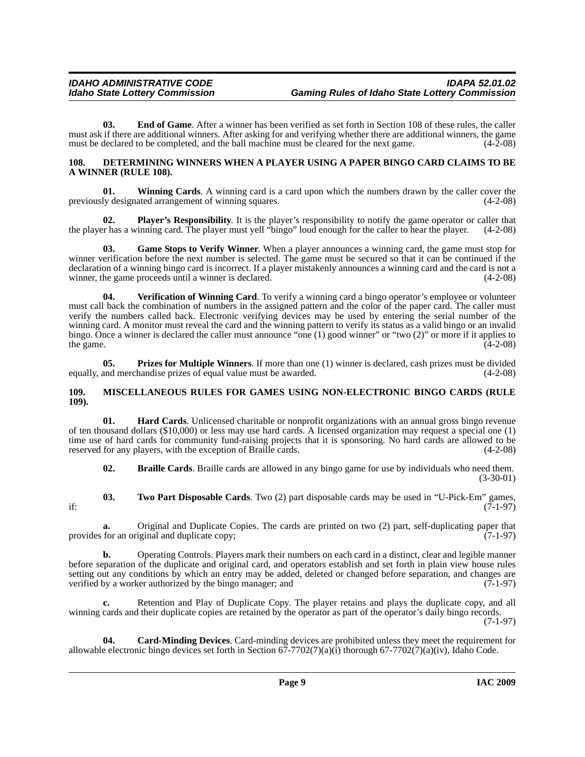**03. End of Game**. After a winner has been verified as set forth in Section 108 of these rules, the caller must ask if there are additional winners. After asking for and verifying whether there are additional winners, the game must be declared to be completed, and the ball machine must be cleared for the next game. (4-2-08) must be declared to be completed, and the ball machine must be cleared for the next game.

#### <span id="page-8-4"></span><span id="page-8-0"></span>**108. DETERMINING WINNERS WHEN A PLAYER USING A PAPER BINGO CARD CLAIMS TO BE A WINNER (RULE 108).**

<span id="page-8-11"></span>**01. Winning Cards**. A winning card is a card upon which the numbers drawn by the caller cover the previously designated arrangement of winning squares. (4-2-08)

<span id="page-8-7"></span>**Player's Responsibility**. It is the player's responsibility to notify the game operator or caller that inning card. The player must yell "bingo" loud enough for the caller to hear the player. (4-2-08) the player has a winning card. The player must yell "bingo" loud enough for the caller to hear the player.

<span id="page-8-5"></span>**03. Game Stops to Verify Winner**. When a player announces a winning card, the game must stop for winner verification before the next number is selected. The game must be secured so that it can be continued if the declaration of a winning bingo card is incorrect. If a player mistakenly announces a winning card and the card is not a winner, the game proceeds until a winner is declared. (4-2-08)

<span id="page-8-10"></span>**04. Verification of Winning Card**. To verify a winning card a bingo operator's employee or volunteer must call back the combination of numbers in the assigned pattern and the color of the paper card. The caller must verify the numbers called back. Electronic verifying devices may be used by entering the serial number of the winning card. A monitor must reveal the card and the winning pattern to verify its status as a valid bingo or an invalid bingo. Once a winner is declared the caller must announce "one (1) good winner" or "two (2)" or more if it applies to the game.  $(4-2-08)$ 

<span id="page-8-8"></span>**05. Prizes for Multiple Winners**. If more than one (1) winner is declared, cash prizes must be divided equally, and merchandise prizes of equal value must be awarded. (4-2-08)

#### <span id="page-8-1"></span>**109. MISCELLANEOUS RULES FOR GAMES USING NON-ELECTRONIC BINGO CARDS (RULE 109).**

**01. Hard Cards**. Unlicensed charitable or nonprofit organizations with an annual gross bingo revenue of ten thousand dollars (\$10,000) or less may use hard cards. A licensed organization may request a special one (1) time use of hard cards for community fund-raising projects that it is sponsoring. No hard cards are allowed to be reserved for any players, with the exception of Braille cards. (4-2-08)

<span id="page-8-9"></span><span id="page-8-2"></span>**02. Braille Cards**. Braille cards are allowed in any bingo game for use by individuals who need them. (3-30-01)

**03. Two Part Disposable Cards**. Two (2) part disposable cards may be used in "U-Pick-Em" games, if:  $(7-1-97)$ 

**a.** Original and Duplicate Copies. The cards are printed on two (2) part, self-duplicating paper that provides for an original and duplicate copy;  $(7-1-97)$ 

**b.** Operating Controls. Players mark their numbers on each card in a distinct, clear and legible manner before separation of the duplicate and original card, and operators establish and set forth in plain view house rules setting out any conditions by which an entry may be added, deleted or changed before separation, and changes are verified by a worker authorized by the bingo manager; and (7-1-97) verified by a worker authorized by the bingo manager; and

**c.** Retention and Play of Duplicate Copy. The player retains and plays the duplicate copy, and all winning cards and their duplicate copies are retained by the operator as part of the operator's daily bingo records.

<span id="page-8-6"></span>(7-1-97)

<span id="page-8-3"></span>**04. Card-Minding Devices**. Card-minding devices are prohibited unless they meet the requirement for allowable electronic bingo devices set forth in Section 67-7702(7)(a)(i) thorough 67-7702(7)(a)(iv), Idaho Code.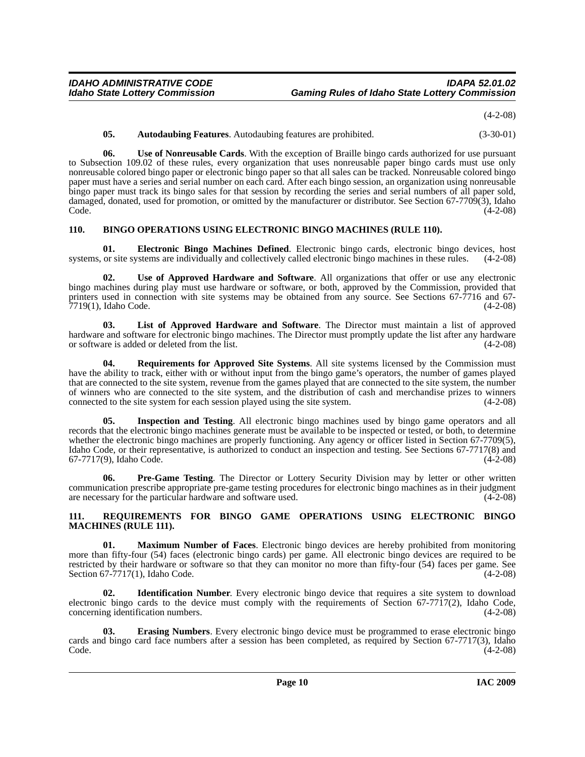(4-2-08)

<span id="page-9-14"></span><span id="page-9-2"></span>**05. Autodaubing Features**. Autodaubing features are prohibited. (3-30-01)

**06. Use of Nonreusable Cards**. With the exception of Braille bingo cards authorized for use pursuant to Subsection 109.02 of these rules, every organization that uses nonreusable paper bingo cards must use only nonreusable colored bingo paper or electronic bingo paper so that all sales can be tracked. Nonreusable colored bingo paper must have a series and serial number on each card. After each bingo session, an organization using nonreusable bingo paper must track its bingo sales for that session by recording the series and serial numbers of all paper sold, damaged, donated, used for promotion, or omitted by the manufacturer or distributor. See Section 67-7709(3), Idaho Code. (4-2-08) Code. (4-2-08)

### <span id="page-9-3"></span><span id="page-9-0"></span>**110. BINGO OPERATIONS USING ELECTRONIC BINGO MACHINES (RULE 110).**

<span id="page-9-4"></span>**01. Electronic Bingo Machines Defined**. Electronic bingo cards, electronic bingo devices, host systems, or site systems are individually and collectively called electronic bingo machines in these rules. (4-2-08)

<span id="page-9-13"></span>**02. Use of Approved Hardware and Software**. All organizations that offer or use any electronic bingo machines during play must use hardware or software, or both, approved by the Commission, provided that printers used in connection with site systems may be obtained from any source. See Sections 67-7716 and 67-7719(1), Idaho Code. (4-2-08)

<span id="page-9-8"></span>**03. List of Approved Hardware and Software**. The Director must maintain a list of approved hardware and software for electronic bingo machines. The Director must promptly update the list after any hardware or software is added or deleted from the list. (4-2-08)

<span id="page-9-11"></span>**04. Requirements for Approved Site Systems**. All site systems licensed by the Commission must have the ability to track, either with or without input from the bingo game's operators, the number of games played that are connected to the site system, revenue from the games played that are connected to the site system, the number of winners who are connected to the site system, and the distribution of cash and merchandise prizes to winners connected to the site system for each session played using the site system. (4-2-08) connected to the site system for each session played using the site system.

<span id="page-9-7"></span>**05. Inspection and Testing**. All electronic bingo machines used by bingo game operators and all records that the electronic bingo machines generate must be available to be inspected or tested, or both, to determine whether the electronic bingo machines are properly functioning. Any agency or officer listed in Section 67-7709(5), Idaho Code, or their representative, is authorized to conduct an inspection and testing. See Sections 67-7717(8) and 67-7717(9), Idaho Code. (4-2-08)

<span id="page-9-10"></span>**06. Pre-Game Testing**. The Director or Lottery Security Division may by letter or other written communication prescribe appropriate pre-game testing procedures for electronic bingo machines as in their judgment are necessary for the particular hardware and software used. (4-2-08)

#### <span id="page-9-12"></span><span id="page-9-1"></span>**111. REQUIREMENTS FOR BINGO GAME OPERATIONS USING ELECTRONIC BINGO MACHINES (RULE 111).**

<span id="page-9-9"></span>**01. Maximum Number of Faces**. Electronic bingo devices are hereby prohibited from monitoring more than fifty-four (54) faces (electronic bingo cards) per game. All electronic bingo devices are required to be restricted by their hardware or software so that they can monitor no more than fifty-four (54) faces per game. See<br>Section 67-7717(1), Idaho Code. (4-2-08) Section  $67-7717(1)$ , Idaho Code.

<span id="page-9-6"></span>**02. Identification Number**. Every electronic bingo device that requires a site system to download electronic bingo cards to the device must comply with the requirements of Section 67-7717(2), Idaho Code, concerning identification numbers. (4-2-08)

<span id="page-9-5"></span>**03. Erasing Numbers**. Every electronic bingo device must be programmed to erase electronic bingo cards and bingo card face numbers after a session has been completed, as required by Section 67-7717(3), Idaho Code. (4-2-08)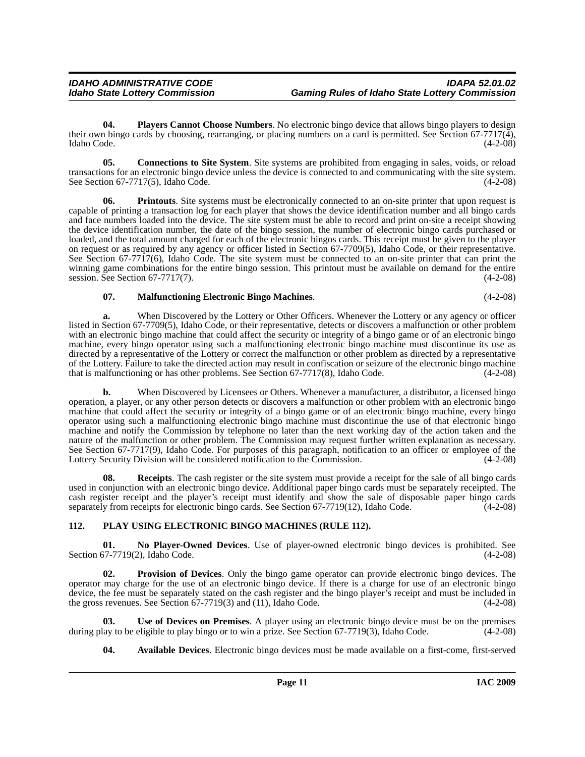<span id="page-10-6"></span>**04. Players Cannot Choose Numbers**. No electronic bingo device that allows bingo players to design their own bingo cards by choosing, rearranging, or placing numbers on a card is permitted. See Section 67-7717(4), Idaho Code. (4-2-08) Idaho Code. (4-2-08)

<span id="page-10-2"></span>**05.** Connections to Site System. Site systems are prohibited from engaging in sales, voids, or reload transactions for an electronic bingo device unless the device is connected to and communicating with the site system. See Section 67-7717(5), Idaho Code.  $(4-2-08)$ 

<span id="page-10-7"></span>**Printouts**. Site systems must be electronically connected to an on-site printer that upon request is capable of printing a transaction log for each player that shows the device identification number and all bingo cards and face numbers loaded into the device. The site system must be able to record and print on-site a receipt showing the device identification number, the date of the bingo session, the number of electronic bingo cards purchased or loaded, and the total amount charged for each of the electronic bingos cards. This receipt must be given to the player on request or as required by any agency or officer listed in Section 67-7709(5), Idaho Code, or their representative. See Section 67-7717(6), Idaho Code. The site system must be connected to an on-site printer that can print the winning game combinations for the entire bingo session. This printout must be available on demand for the entire session. See Section 67-7717(7).  $(4-2-08)$ 

# <span id="page-10-3"></span>**07. Malfunctioning Electronic Bingo Machines**. (4-2-08)

**a.** When Discovered by the Lottery or Other Officers. Whenever the Lottery or any agency or officer listed in Section 67-7709(5), Idaho Code, or their representative, detects or discovers a malfunction or other problem with an electronic bingo machine that could affect the security or integrity of a bingo game or of an electronic bingo machine, every bingo operator using such a malfunctioning electronic bingo machine must discontinue its use as directed by a representative of the Lottery or correct the malfunction or other problem as directed by a representative of the Lottery. Failure to take the directed action may result in confiscation or seizure of the electronic bingo machine<br>that is malfunctioning or has other problems. See Section 67-7717(8), Idaho Code. (4-2-08) that is malfunctioning or has other problems. See Section 67-7717(8), Idaho Code.

**b.** When Discovered by Licensees or Others. Whenever a manufacturer, a distributor, a licensed bingo operation, a player, or any other person detects or discovers a malfunction or other problem with an electronic bingo machine that could affect the security or integrity of a bingo game or of an electronic bingo machine, every bingo operator using such a malfunctioning electronic bingo machine must discontinue the use of that electronic bingo machine and notify the Commission by telephone no later than the next working day of the action taken and the nature of the malfunction or other problem. The Commission may request further written explanation as necessary. See Section 67-7717(9), Idaho Code. For purposes of this paragraph, notification to an officer or employee of the Lottery Security Division will be considered notification to the Commission. (4-2-08)

**08. Receipts**. The cash register or the site system must provide a receipt for the sale of all bingo cards used in conjunction with an electronic bingo device. Additional paper bingo cards must be separately receipted. The cash register receipt and the player's receipt must identify and show the sale of disposable paper bingo cards separately from receipts for electronic bingo cards. See Section 67-7719(12), Idaho Code.  $(4-2-08)$ 

# <span id="page-10-5"></span><span id="page-10-0"></span>**112. PLAY USING ELECTRONIC BINGO MACHINES (RULE 112).**

<span id="page-10-4"></span>**01. No Player-Owned Devices**. Use of player-owned electronic bingo devices is prohibited. See Section 67-7719(2), Idaho Code. (4-2-08)

<span id="page-10-8"></span>**02. Provision of Devices**. Only the bingo game operator can provide electronic bingo devices. The operator may charge for the use of an electronic bingo device. If there is a charge for use of an electronic bingo device, the fee must be separately stated on the cash register and the bingo player's receipt and must be included in the gross revenues. See Section  $67-7719(3)$  and  $(11)$ , Idaho Code.  $(4-2-08)$ 

**03.** Use of Devices on Premises. A player using an electronic bingo device must be on the premises lay to be eligible to play bingo or to win a prize. See Section 67-7719(3), Idaho Code. (4-2-08) during play to be eligible to play bingo or to win a prize. See Section 67-7719(3), Idaho Code.

<span id="page-10-9"></span><span id="page-10-1"></span>**04. Available Devices**. Electronic bingo devices must be made available on a first-come, first-served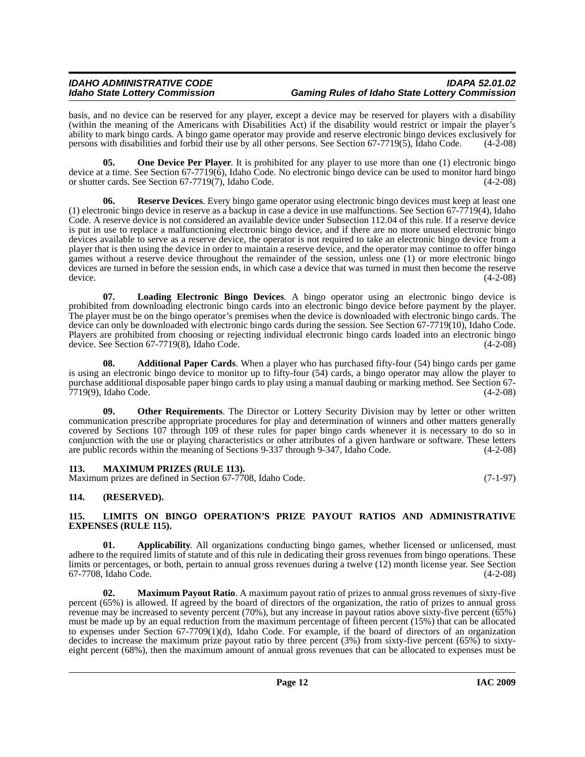#### *IDAHO ADMINISTRATIVE CODE IDAPA 52.01.02 Idaho State Lottery Commission Gaming Rules of Idaho State Lottery Commission*

basis, and no device can be reserved for any player, except a device may be reserved for players with a disability (within the meaning of the Americans with Disabilities Act) if the disability would restrict or impair the player's ability to mark bingo cards. A bingo game operator may provide and reserve electronic bingo devices exclusively for persons with disabilities and forbid their use by all other persons. See Section 67-7719(5), Idaho Code. (4-2-08)

<span id="page-11-9"></span>**05.** One Device Per Player. It is prohibited for any player to use more than one (1) electronic bingo device at a time. See Section 67-7719(6), Idaho Code. No electronic bingo device can be used to monitor hard bingo or shutter cards. See Section 67-7719(7), Idaho Code. (4-2-08)

<span id="page-11-11"></span>**Reserve Devices**. Every bingo game operator using electronic bingo devices must keep at least one (1) electronic bingo device in reserve as a backup in case a device in use malfunctions. See Section 67-7719(4), Idaho Code. A reserve device is not considered an available device under Subsection 112.04 of this rule. If a reserve device is put in use to replace a malfunctioning electronic bingo device, and if there are no more unused electronic bingo devices available to serve as a reserve device, the operator is not required to take an electronic bingo device from a player that is then using the device in order to maintain a reserve device, and the operator may continue to offer bingo games without a reserve device throughout the remainder of the session, unless one (1) or more electronic bingo devices are turned in before the session ends, in which case a device that was turned in must then become the reserve device. (4-2-08)

<span id="page-11-6"></span>**07. Loading Electronic Bingo Devices**. A bingo operator using an electronic bingo device is prohibited from downloading electronic bingo cards into an electronic bingo device before payment by the player. The player must be on the bingo operator's premises when the device is downloaded with electronic bingo cards. The device can only be downloaded with electronic bingo cards during the session. See Section 67-7719(10), Idaho Code. Players are prohibited from choosing or rejecting individual electronic bingo cards loaded into an electronic bingo device. See Section 67-7719(8), Idaho Code. (4-2-08)

<span id="page-11-3"></span>**08. Additional Paper Cards**. When a player who has purchased fifty-four (54) bingo cards per game is using an electronic bingo device to monitor up to fifty-four (54) cards, a bingo operator may allow the player to purchase additional disposable paper bingo cards to play using a manual daubing or marking method. See Section 67- 7719(9), Idaho Code. (4-2-08)

<span id="page-11-10"></span>**09.** Other Requirements. The Director or Lottery Security Division may by letter or other written communication prescribe appropriate procedures for play and determination of winners and other matters generally covered by Sections 107 through 109 of these rules for paper bingo cards whenever it is necessary to do so in conjunction with the use or playing characteristics or other attributes of a given hardware or software. These letters are public records within the meaning of Sections 9-337 through 9-347, Idaho Code. (4-2-08)

<span id="page-11-8"></span><span id="page-11-0"></span>

| 113. | <b>MAXIMUM PRIZES (RULE 113).</b>                          |            |
|------|------------------------------------------------------------|------------|
|      | Maximum prizes are defined in Section 67-7708, Idaho Code. | $(7-1-97)$ |

# <span id="page-11-1"></span>**114. (RESERVED).**

### <span id="page-11-5"></span><span id="page-11-2"></span>**115. LIMITS ON BINGO OPERATION'S PRIZE PAYOUT RATIOS AND ADMINISTRATIVE EXPENSES (RULE 115).**

<span id="page-11-4"></span>**01.** Applicability. All organizations conducting bingo games, whether licensed or unlicensed, must adhere to the required limits of statute and of this rule in dedicating their gross revenues from bingo operations. These limits or percentages, or both, pertain to annual gross revenues during a twelve (12) month license year. See Section 67-7708, Idaho Code. (4-2-08) 67-7708, Idaho Code.

<span id="page-11-7"></span>**02. Maximum Payout Ratio**. A maximum payout ratio of prizes to annual gross revenues of sixty-five percent (65%) is allowed. If agreed by the board of directors of the organization, the ratio of prizes to annual gross revenue may be increased to seventy percent (70%), but any increase in payout ratios above sixty-five percent (65%) must be made up by an equal reduction from the maximum percentage of fifteen percent (15%) that can be allocated to expenses under Section 67-7709(1)(d), Idaho Code. For example, if the board of directors of an organization decides to increase the maximum prize payout ratio by three percent (3%) from sixty-five percent (65%) to sixtyeight percent (68%), then the maximum amount of annual gross revenues that can be allocated to expenses must be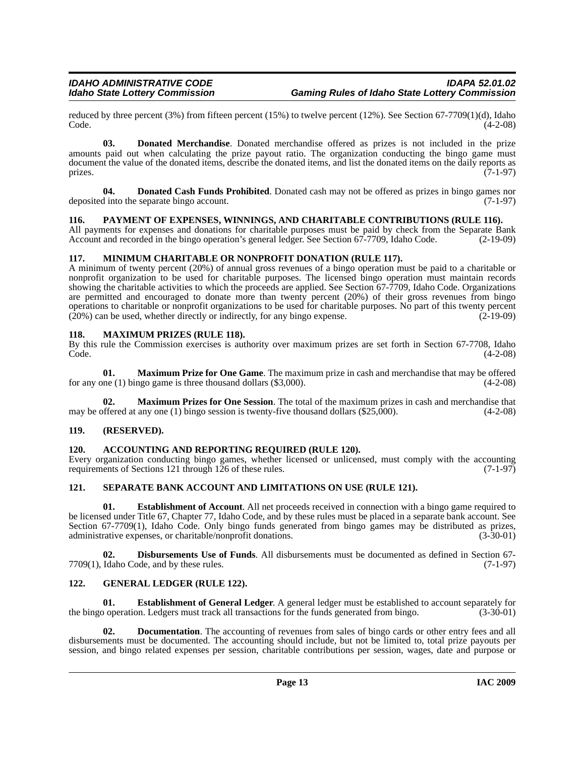reduced by three percent (3%) from fifteen percent (15%) to twelve percent (12%). See Section 67-7709(1)(d), Idaho<br>Code. (4-2-08) Code. (4-2-08)

<span id="page-12-11"></span>**03. Donated Merchandise**. Donated merchandise offered as prizes is not included in the prize amounts paid out when calculating the prize payout ratio. The organization conducting the bingo game must document the value of the donated items, describe the donated items, and list the donated items on the daily reports as prizes. (7-1-97) prizes.  $(7-1-97)$ 

<span id="page-12-10"></span>**04. Donated Cash Funds Prohibited**. Donated cash may not be offered as prizes in bingo games nor deposited into the separate bingo account. (7-1-97)

### <span id="page-12-17"></span><span id="page-12-0"></span>**116. PAYMENT OF EXPENSES, WINNINGS, AND CHARITABLE CONTRIBUTIONS (RULE 116).**

All payments for expenses and donations for charitable purposes must be paid by check from the Separate Bank Account and recorded in the bingo operation's general ledger. See Section 67-7709, Idaho Code. (2-19-09)

### <span id="page-12-16"></span><span id="page-12-1"></span>**117. MINIMUM CHARITABLE OR NONPROFIT DONATION (RULE 117).**

A minimum of twenty percent (20%) of annual gross revenues of a bingo operation must be paid to a charitable or nonprofit organization to be used for charitable purposes. The licensed bingo operation must maintain records showing the charitable activities to which the proceeds are applied. See Section 67-7709, Idaho Code. Organizations are permitted and encouraged to donate more than twenty percent (20%) of their gross revenues from bingo operations to charitable or nonprofit organizations to be used for charitable purposes. No part of this twenty percent (20%) can be used, whether directly or indirectly, for any bingo expense. (2-19-09)  $(20%)$  can be used, whether directly or indirectly, for any bingo expense.

### <span id="page-12-15"></span><span id="page-12-2"></span>**118. MAXIMUM PRIZES (RULE 118).**

By this rule the Commission exercises is authority over maximum prizes are set forth in Section 67-7708, Idaho Code. (4-2-08)

**01. Maximum Prize for One Game**. The maximum prize in cash and merchandise that may be offered for any one (1) bingo game is three thousand dollars  $(\$3,000)$ .  $(4-2-08)$ 

**02. Maximum Prizes for One Session**. The total of the maximum prizes in cash and merchandise that may be offered at any one (1) bingo session is twenty-five thousand dollars  $(\$25,000)$ .  $(4-2-08)$ 

### <span id="page-12-3"></span>**119. (RESERVED).**

### <span id="page-12-7"></span><span id="page-12-4"></span>**120. ACCOUNTING AND REPORTING REQUIRED (RULE 120).**

Every organization conducting bingo games, whether licensed or unlicensed, must comply with the accounting requirements of Sections 121 through 126 of these rules.  $(7-1-97)$ 

### <span id="page-12-18"></span><span id="page-12-5"></span>**121. SEPARATE BANK ACCOUNT AND LIMITATIONS ON USE (RULE 121).**

<span id="page-12-12"></span>**01. Establishment of Account**. All net proceeds received in connection with a bingo game required to be licensed under Title 67, Chapter 77, Idaho Code, and by these rules must be placed in a separate bank account. See Section 67-7709(1), Idaho Code. Only bingo funds generated from bingo games may be distributed as prizes, administrative expenses, or charitable/nonprofit donations. (3-30-01) administrative expenses, or charitable/nonprofit donations.

<span id="page-12-8"></span>**02. Disbursements Use of Funds**. All disbursements must be documented as defined in Section 67-  $7709(1)$ , Idaho Code, and by these rules. (7-1-97)

### <span id="page-12-14"></span><span id="page-12-6"></span>**122. GENERAL LEDGER (RULE 122).**

<span id="page-12-13"></span>**Establishment of General Ledger.** A general ledger must be established to account separately for the bingo operation. Ledgers must track all transactions for the funds generated from bingo. (3-30-01)

<span id="page-12-9"></span>**02. Documentation**. The accounting of revenues from sales of bingo cards or other entry fees and all disbursements must be documented. The accounting should include, but not be limited to, total prize payouts per session, and bingo related expenses per session, charitable contributions per session, wages, date and purpose or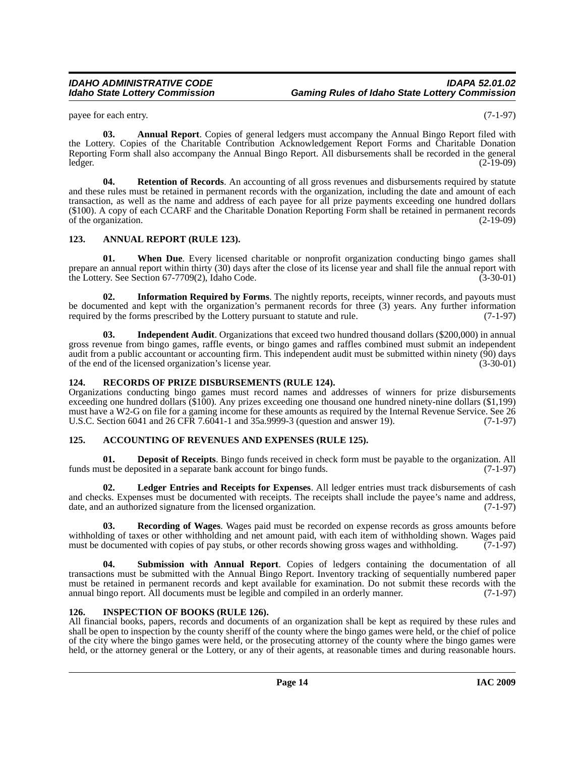payee for each entry. (7-1-97)

<span id="page-13-6"></span>**03. Annual Report**. Copies of general ledgers must accompany the Annual Bingo Report filed with the Lottery. Copies of the Charitable Contribution Acknowledgement Report Forms and Charitable Donation Reporting Form shall also accompany the Annual Bingo Report. All disbursements shall be recorded in the general ledger. (2-19-09)

<span id="page-13-14"></span>**04. Retention of Records**. An accounting of all gross revenues and disbursements required by statute and these rules must be retained in permanent records with the organization, including the date and amount of each transaction, as well as the name and address of each payee for all prize payments exceeding one hundred dollars (\$100). A copy of each CCARF and the Charitable Donation Reporting Form shall be retained in permanent records of the organization. (2-19-09)

# <span id="page-13-5"></span><span id="page-13-0"></span>**123. ANNUAL REPORT (RULE 123).**

<span id="page-13-16"></span>**01. When Due**. Every licensed charitable or nonprofit organization conducting bingo games shall prepare an annual report within thirty (30) days after the close of its license year and shall file the annual report with the Lottery. See Section 67-7709(2), Idaho Code. (3-30-01)

<span id="page-13-9"></span>**02.** Information Required by Forms. The nightly reports, receipts, winner records, and payouts must be documented and kept with the organization's permanent records for three (3) years. Any further information required by the forms prescribed by the Lottery pursuant to statute and rule. (7-1-97) required by the forms prescribed by the Lottery pursuant to statute and rule.

<span id="page-13-8"></span>**03. Independent Audit**. Organizations that exceed two hundred thousand dollars (\$200,000) in annual gross revenue from bingo games, raffle events, or bingo games and raffles combined must submit an independent audit from a public accountant or accounting firm. This independent audit must be submitted within ninety (90) days of the end of the licensed organization's license year. (3-30-01) of the end of the licensed organization's license year.

# <span id="page-13-13"></span><span id="page-13-1"></span>**124. RECORDS OF PRIZE DISBURSEMENTS (RULE 124).**

Organizations conducting bingo games must record names and addresses of winners for prize disbursements exceeding one hundred dollars (\$100). Any prizes exceeding one thousand one hundred ninety-nine dollars (\$1,199) must have a W2-G on file for a gaming income for these amounts as required by the Internal Revenue Service. See 26 U.S.C. Section 6041 and 26 CFR 7.6041-1 and 35a.9999-3 (question and answer 19). (7-1-97)

### <span id="page-13-4"></span><span id="page-13-2"></span>**125. ACCOUNTING OF REVENUES AND EXPENSES (RULE 125).**

<span id="page-13-7"></span>**01. Deposit of Receipts**. Bingo funds received in check form must be payable to the organization. All funds must be deposited in a separate bank account for bingo funds. (7-1-97)

<span id="page-13-11"></span>**02. Ledger Entries and Receipts for Expenses**. All ledger entries must track disbursements of cash and checks. Expenses must be documented with receipts. The receipts shall include the payee's name and address, date, and an authorized signature from the licensed organization. (7-1-97)

<span id="page-13-12"></span>**03. Recording of Wages**. Wages paid must be recorded on expense records as gross amounts before withholding of taxes or other withholding and net amount paid, with each item of withholding shown. Wages paid must be documented with copies of pay stubs, or other records showing gross wages and withholding. (7-1-97) must be documented with copies of pay stubs, or other records showing gross wages and withholding.

<span id="page-13-15"></span>**04. Submission with Annual Report**. Copies of ledgers containing the documentation of all transactions must be submitted with the Annual Bingo Report. Inventory tracking of sequentially numbered paper must be retained in permanent records and kept available for examination. Do not submit these records with the annual bingo report. All documents must be legible and compiled in an orderly manner. (7-1-97)

### <span id="page-13-10"></span><span id="page-13-3"></span>**126. INSPECTION OF BOOKS (RULE 126).**

All financial books, papers, records and documents of an organization shall be kept as required by these rules and shall be open to inspection by the county sheriff of the county where the bingo games were held, or the chief of police of the city where the bingo games were held, or the prosecuting attorney of the county where the bingo games were held, or the attorney general or the Lottery, or any of their agents, at reasonable times and during reasonable hours.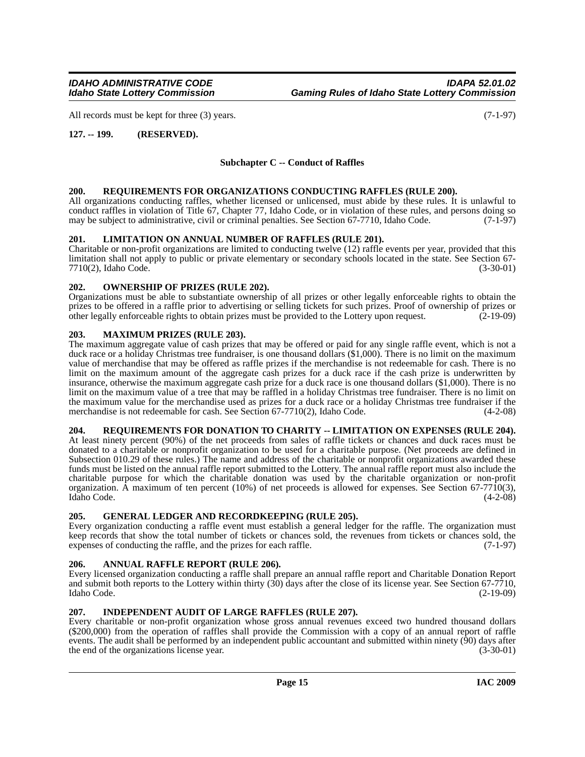All records must be kept for three (3) years. (7-1-97)

# <span id="page-14-0"></span>**127. -- 199. (RESERVED).**

# **Subchapter C -- Conduct of Raffles**

### <span id="page-14-16"></span><span id="page-14-1"></span>**200. REQUIREMENTS FOR ORGANIZATIONS CONDUCTING RAFFLES (RULE 200).**

All organizations conducting raffles, whether licensed or unlicensed, must abide by these rules. It is unlawful to conduct raffles in violation of Title 67, Chapter 77, Idaho Code, or in violation of these rules, and persons doing so may be subject to administrative, civil or criminal penalties. See Section 67-7710, Idaho Code. (7-1-97)

#### <span id="page-14-12"></span><span id="page-14-2"></span>**201. LIMITATION ON ANNUAL NUMBER OF RAFFLES (RULE 201).**

Charitable or non-profit organizations are limited to conducting twelve (12) raffle events per year, provided that this limitation shall not apply to public or private elementary or secondary schools located in the state. See Section 67-<br>(3-30-01) (3-30-01) 7710(2), Idaho Code.

#### <span id="page-14-14"></span><span id="page-14-3"></span>**202. OWNERSHIP OF PRIZES (RULE 202).**

Organizations must be able to substantiate ownership of all prizes or other legally enforceable rights to obtain the prizes to be offered in a raffle prior to advertising or selling tickets for such prizes. Proof of ownership of prizes or other legally enforceable rights to obtain prizes must be provided to the Lottery upon request. (2-1 other legally enforceable rights to obtain prizes must be provided to the Lottery upon request. (2-19-09)

#### <span id="page-14-13"></span><span id="page-14-4"></span>**203. MAXIMUM PRIZES (RULE 203).**

The maximum aggregate value of cash prizes that may be offered or paid for any single raffle event, which is not a duck race or a holiday Christmas tree fundraiser, is one thousand dollars (\$1,000). There is no limit on the maximum value of merchandise that may be offered as raffle prizes if the merchandise is not redeemable for cash. There is no limit on the maximum amount of the aggregate cash prizes for a duck race if the cash prize is underwritten by insurance, otherwise the maximum aggregate cash prize for a duck race is one thousand dollars (\$1,000). There is no limit on the maximum value of a tree that may be raffled in a holiday Christmas tree fundraiser. There is no limit on the maximum value for the merchandise used as prizes for a duck race or a holiday Christmas tree fundraiser if the merchandise is not redeemable for cash. See Section 67-7710(2), Idaho Code. (4-2-08)

#### <span id="page-14-15"></span><span id="page-14-5"></span>**204. REQUIREMENTS FOR DONATION TO CHARITY -- LIMITATION ON EXPENSES (RULE 204).**

At least ninety percent (90%) of the net proceeds from sales of raffle tickets or chances and duck races must be donated to a charitable or nonprofit organization to be used for a charitable purpose. (Net proceeds are defined in Subsection 010.29 of these rules.) The name and address of the charitable or nonprofit organizations awarded these funds must be listed on the annual raffle report submitted to the Lottery. The annual raffle report must also include the charitable purpose for which the charitable donation was used by the charitable organization or non-profit organization. A maximum of ten percent (10%) of net proceeds is allowed for expenses. See Section 67-7710(3), Idaho Code. (4-2-08)

#### <span id="page-14-10"></span><span id="page-14-6"></span>**205. GENERAL LEDGER AND RECORDKEEPING (RULE 205).**

Every organization conducting a raffle event must establish a general ledger for the raffle. The organization must keep records that show the total number of tickets or chances sold, the revenues from tickets or chances sold, the expenses of conducting the raffle, and the prizes for each raffle. (7-1-97) expenses of conducting the raffle, and the prizes for each raffle.

# <span id="page-14-9"></span><span id="page-14-7"></span>**206. ANNUAL RAFFLE REPORT (RULE 206).**

Every licensed organization conducting a raffle shall prepare an annual raffle report and Charitable Donation Report and submit both reports to the Lottery within thirty (30) days after the close of its license year. See Section 67-7710, Idaho Code. (2-19-09)

### <span id="page-14-11"></span><span id="page-14-8"></span>**207. INDEPENDENT AUDIT OF LARGE RAFFLES (RULE 207).**

Every charitable or non-profit organization whose gross annual revenues exceed two hundred thousand dollars (\$200,000) from the operation of raffles shall provide the Commission with a copy of an annual report of raffle events. The audit shall be performed by an independent public accountant and submitted within ninety (90) days after the end of the organizations license year. (3-30-01)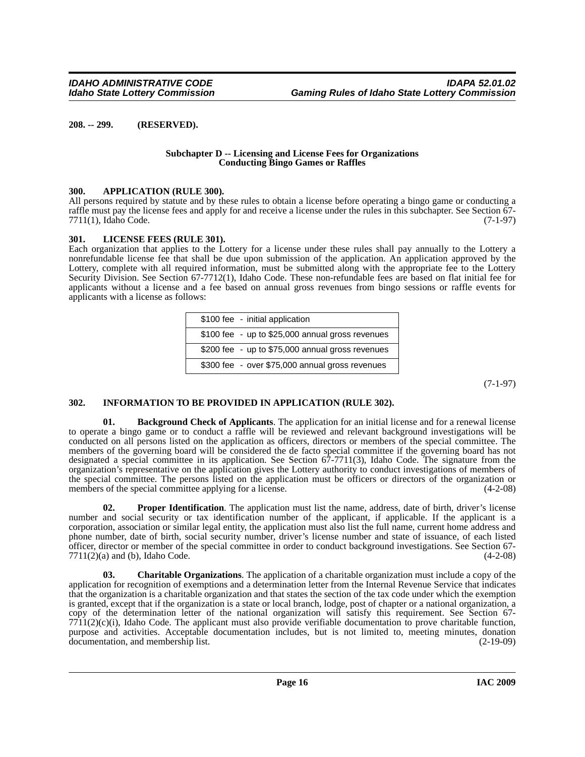<span id="page-15-0"></span>**208. -- 299. (RESERVED).**

#### **Subchapter D -- Licensing and License Fees for Organizations Conducting Bingo Games or Raffles**

#### <span id="page-15-4"></span><span id="page-15-1"></span>**300. APPLICATION (RULE 300).**

All persons required by statute and by these rules to obtain a license before operating a bingo game or conducting a raffle must pay the license fees and apply for and receive a license under the rules in this subchapter. See Section 67- 7711(1), Idaho Code. (7-1-97)

#### <span id="page-15-8"></span><span id="page-15-2"></span>**301. LICENSE FEES (RULE 301).**

Each organization that applies to the Lottery for a license under these rules shall pay annually to the Lottery a nonrefundable license fee that shall be due upon submission of the application. An application approved by the Lottery, complete with all required information, must be submitted along with the appropriate fee to the Lottery Security Division. See Section 67-7712(1), Idaho Code. These non-refundable fees are based on flat initial fee for applicants without a license and a fee based on annual gross revenues from bingo sessions or raffle events for applicants with a license as follows:

| \$100 fee - initial application                  |
|--------------------------------------------------|
| \$100 fee - up to \$25,000 annual gross revenues |
| \$200 fee - up to \$75,000 annual gross revenues |
| \$300 fee - over \$75,000 annual gross revenues  |

(7-1-97)

# <span id="page-15-7"></span><span id="page-15-3"></span>**302. INFORMATION TO BE PROVIDED IN APPLICATION (RULE 302).**

<span id="page-15-5"></span>**01. Background Check of Applicants**. The application for an initial license and for a renewal license to operate a bingo game or to conduct a raffle will be reviewed and relevant background investigations will be conducted on all persons listed on the application as officers, directors or members of the special committee. The members of the governing board will be considered the de facto special committee if the governing board has not designated a special committee in its application. See Section 67-7711(3), Idaho Code. The signature from the organization's representative on the application gives the Lottery authority to conduct investigations of members of the special committee. The persons listed on the application must be officers or directors of the organization or members of the special committee applying for a license. (4-2-08)

<span id="page-15-9"></span>**02.** Proper Identification. The application must list the name, address, date of birth, driver's license number and social security or tax identification number of the applicant, if applicable. If the applicant is a corporation, association or similar legal entity, the application must also list the full name, current home address and phone number, date of birth, social security number, driver's license number and state of issuance, of each listed officer, director or member of the special committee in order to conduct background investigations. See Section 67-  $7711(2)(a)$  and (b), Idaho Code. (4-2-08)

<span id="page-15-6"></span>**Charitable Organizations**. The application of a charitable organization must include a copy of the application for recognition of exemptions and a determination letter from the Internal Revenue Service that indicates that the organization is a charitable organization and that states the section of the tax code under which the exemption is granted, except that if the organization is a state or local branch, lodge, post of chapter or a national organization, a copy of the determination letter of the national organization will satisfy this requirement. See Section 67-  $7711(2)(c)(i)$ , Idaho Code. The applicant must also provide verifiable documentation to prove charitable function, purpose and activities. Acceptable documentation includes, but is not limited to, meeting minutes, donation documentation, and membership list. (2-19-09)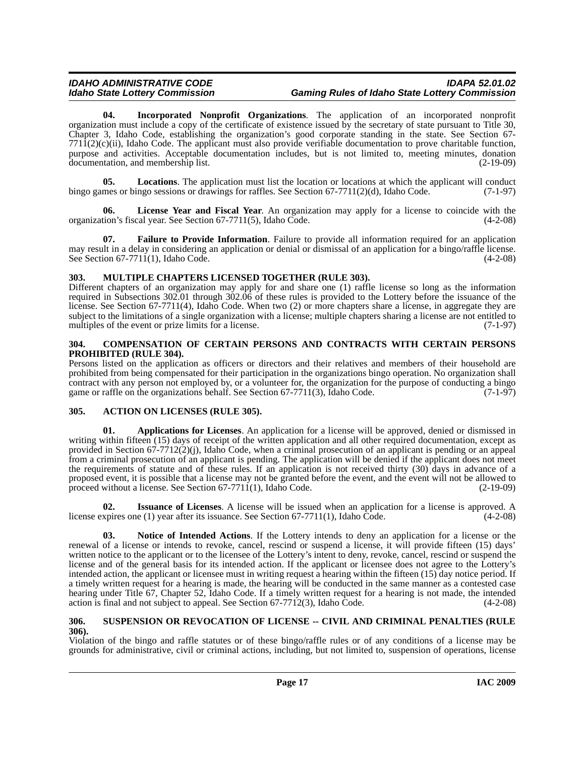# *IDAHO ADMINISTRATIVE CODE IDAPA 52.01.02 Idaho State Lottery Commission Gaming Rules of Idaho State Lottery Commission*

<span id="page-16-8"></span>**04. Incorporated Nonprofit Organizations**. The application of an incorporated nonprofit organization must include a copy of the certificate of existence issued by the secretary of state pursuant to Title 30, Chapter 3, Idaho Code, establishing the organization's good corporate standing in the state. See Section 67-  $7711(2)(c)(ii)$ , Idaho Code. The applicant must also provide verifiable documentation to prove charitable function, purpose and activities. Acceptable documentation includes, but is not limited to, meeting minutes, donation documentation, and membership list. (2-19-09)

<span id="page-16-11"></span>**05. Locations**. The application must list the location or locations at which the applicant will conduct bingo games or bingo sessions or drawings for raffles. See Section 67-7711(2)(d), Idaho Code. (7-1-97)

<span id="page-16-10"></span>**06. License Year and Fiscal Year**. An organization may apply for a license to coincide with the organization's fiscal year. See Section 67-7711(5), Idaho Code. (4-2-08)

<span id="page-16-7"></span>**Failure to Provide Information**. Failure to provide all information required for an application may result in a delay in considering an application or denial or dismissal of an application for a bingo/raffle license. See Section 67-7711(1), Idaho Code. (4-2-08)

### <span id="page-16-12"></span><span id="page-16-0"></span>**303. MULTIPLE CHAPTERS LICENSED TOGETHER (RULE 303).**

Different chapters of an organization may apply for and share one (1) raffle license so long as the information required in Subsections 302.01 through 302.06 of these rules is provided to the Lottery before the issuance of the license. See Section 67-7711(4), Idaho Code. When two (2) or more chapters share a license, in aggregate they are subject to the limitations of a single organization with a license; multiple chapters sharing a license are not entitled to multiples of the event or prize limits for a license. multiples of the event or prize limits for a license.

#### <span id="page-16-6"></span><span id="page-16-1"></span>**304. COMPENSATION OF CERTAIN PERSONS AND CONTRACTS WITH CERTAIN PERSONS PROHIBITED (RULE 304).**

Persons listed on the application as officers or directors and their relatives and members of their household are prohibited from being compensated for their participation in the organizations bingo operation. No organization shall contract with any person not employed by, or a volunteer for, the organization for the purpose of conducting a bingo game or raffle on the organizations behalf. See Section 67-7711(3), Idaho Code.  $(7-1-97)$ 

### <span id="page-16-4"></span><span id="page-16-2"></span>**305. ACTION ON LICENSES (RULE 305).**

<span id="page-16-5"></span>**01. Applications for Licenses**. An application for a license will be approved, denied or dismissed in writing within fifteen (15) days of receipt of the written application and all other required documentation, except as provided in Section 67-7712(2)(j), Idaho Code, when a criminal prosecution of an applicant is pending or an appeal from a criminal prosecution of an applicant is pending. The application will be denied if the applicant does not meet the requirements of statute and of these rules. If an application is not received thirty (30) days in advance of a proposed event, it is possible that a license may not be granted before the event, and the event will not be allowed to proceed without a license. See Section 67-7711(1), Idaho Code. (2-19-09) proceed without a license. See Section  $67-7711(1)$ , Idaho Code.

<span id="page-16-9"></span>**02. Issuance of Licenses**. A license will be issued when an application for a license is approved. A license expires one (1) year after its issuance. See Section 67-7711(1), Idaho Code. (4-2-08)

<span id="page-16-13"></span>**03. Notice of Intended Actions**. If the Lottery intends to deny an application for a license or the renewal of a license or intends to revoke, cancel, rescind or suspend a license, it will provide fifteen (15) days' written notice to the applicant or to the licensee of the Lottery's intent to deny, revoke, cancel, rescind or suspend the license and of the general basis for its intended action. If the applicant or licensee does not agree to the Lottery's intended action, the applicant or licensee must in writing request a hearing within the fifteen (15) day notice period. If a timely written request for a hearing is made, the hearing will be conducted in the same manner as a contested case hearing under Title 67, Chapter 52, Idaho Code. If a timely written request for a hearing is not made, the intended action is final and not subject to appeal. See Section 67-7712(3), Idaho Code. (4-2-08)

#### <span id="page-16-14"></span><span id="page-16-3"></span>**306. SUSPENSION OR REVOCATION OF LICENSE -- CIVIL AND CRIMINAL PENALTIES (RULE 306).**

Violation of the bingo and raffle statutes or of these bingo/raffle rules or of any conditions of a license may be grounds for administrative, civil or criminal actions, including, but not limited to, suspension of operations, license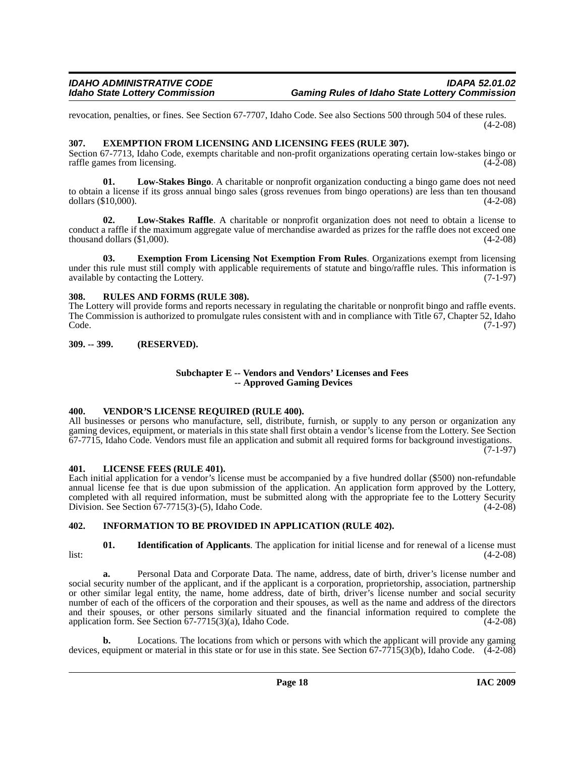revocation, penalties, or fines. See Section 67-7707, Idaho Code. See also Sections 500 through 504 of these rules. (4-2-08)

# <span id="page-17-6"></span><span id="page-17-0"></span>**307. EXEMPTION FROM LICENSING AND LICENSING FEES (RULE 307).**

Section 67-7713, Idaho Code, exempts charitable and non-profit organizations operating certain low-stakes bingo or raffle games from licensing. (4-2-08)

<span id="page-17-11"></span>**01. Low-Stakes Bingo**. A charitable or nonprofit organization conducting a bingo game does not need to obtain a license if its gross annual bingo sales (gross revenues from bingo operations) are less than ten thousand dollars (\$10,000). (4-2-08)

<span id="page-17-12"></span>**02. Low-Stakes Raffle**. A charitable or nonprofit organization does not need to obtain a license to conduct a raffle if the maximum aggregate value of merchandise awarded as prizes for the raffle does not exceed one thousand dollars  $(\$1,000)$ . (4-2-08)

<span id="page-17-7"></span>**03. Exemption From Licensing Not Exemption From Rules**. Organizations exempt from licensing under this rule must still comply with applicable requirements of statute and bingo/raffle rules. This information is available by contacting the Lottery. (7-1-97)

# <span id="page-17-13"></span><span id="page-17-1"></span>**308. RULES AND FORMS (RULE 308).**

The Lottery will provide forms and reports necessary in regulating the charitable or nonprofit bingo and raffle events. The Commission is authorized to promulgate rules consistent with and in compliance with Title 67, Chapter 52, Idaho Code. (7-1-97) Code. (7-1-97)

# <span id="page-17-2"></span>**309. -- 399. (RESERVED).**

#### **Subchapter E -- Vendors and Vendors' Licenses and Fees -- Approved Gaming Devices**

### <span id="page-17-14"></span><span id="page-17-3"></span>**400. VENDOR'S LICENSE REQUIRED (RULE 400).**

All businesses or persons who manufacture, sell, distribute, furnish, or supply to any person or organization any gaming devices, equipment, or materials in this state shall first obtain a vendor's license from the Lottery. See Section 67-7715, Idaho Code. Vendors must file an application and submit all required forms for background investigations. (7-1-97)

### <span id="page-17-10"></span><span id="page-17-4"></span>**401. LICENSE FEES (RULE 401).**

Each initial application for a vendor's license must be accompanied by a five hundred dollar (\$500) non-refundable annual license fee that is due upon submission of the application. An application form approved by the Lottery, completed with all required information, must be submitted along with the appropriate fee to the Lottery Security Division. See Section 67-7715(3)-(5), Idaho Code. (4-2-08)

# <span id="page-17-9"></span><span id="page-17-5"></span>**402. INFORMATION TO BE PROVIDED IN APPLICATION (RULE 402).**

<span id="page-17-8"></span>**01. Identification of Applicants**. The application for initial license and for renewal of a license must list: (4-2-08)

**a.** Personal Data and Corporate Data. The name, address, date of birth, driver's license number and social security number of the applicant, and if the applicant is a corporation, proprietorship, association, partnership or other similar legal entity, the name, home address, date of birth, driver's license number and social security number of each of the officers of the corporation and their spouses, as well as the name and address of the directors and their spouses, or other persons similarly situated and the financial information required to complete the application form. See Section  $67-7715(3)(a)$ , Idaho Code. (4-2-08)

**b.** Locations. The locations from which or persons with which the applicant will provide any gaming devices, equipment or material in this state or for use in this state. See Section 67-7715(3)(b), Idaho Code. (4-2-08)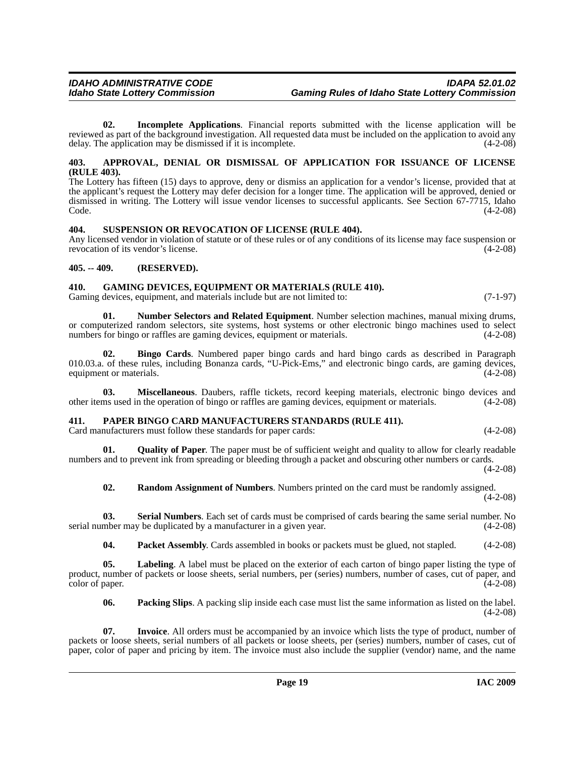<span id="page-18-8"></span>**02. Incomplete Applications**. Financial reports submitted with the license application will be reviewed as part of the background investigation. All requested data must be included on the application to avoid any delay. The application may be dismissed if it is incomplete. delay. The application may be dismissed if it is incomplete.

#### <span id="page-18-5"></span><span id="page-18-0"></span>**403. APPROVAL, DENIAL OR DISMISSAL OF APPLICATION FOR ISSUANCE OF LICENSE (RULE 403).**

The Lottery has fifteen (15) days to approve, deny or dismiss an application for a vendor's license, provided that at the applicant's request the Lottery may defer decision for a longer time. The application will be approved, denied or dismissed in writing. The Lottery will issue vendor licenses to successful applicants. See Section 67-7715, Idaho  $\text{Code.}$  (4-2-08)

### <span id="page-18-14"></span><span id="page-18-1"></span>**404. SUSPENSION OR REVOCATION OF LICENSE (RULE 404).**

Any licensed vendor in violation of statute or of these rules or of any conditions of its license may face suspension or revocation of its vendor's license. (4-2-08)

#### <span id="page-18-2"></span>**405. -- 409. (RESERVED).**

#### <span id="page-18-7"></span><span id="page-18-3"></span>**410. GAMING DEVICES, EQUIPMENT OR MATERIALS (RULE 410).**

Gaming devices, equipment, and materials include but are not limited to:  $(7-1-97)$ 

<span id="page-18-10"></span>**01. Number Selectors and Related Equipment**. Number selection machines, manual mixing drums, or computerized random selectors, site systems, host systems or other electronic bingo machines used to select numbers for bingo or raffles are gaming devices, equipment or materials. (4-2-08) (4-2-08)

<span id="page-18-6"></span>**02. Bingo Cards**. Numbered paper bingo cards and hard bingo cards as described in Paragraph 010.03.a. of these rules, including Bonanza cards, "U-Pick-Ems," and electronic bingo cards, are gaming devices, equipment or materials. equipment or materials.

**03. Miscellaneous**. Daubers, raffle tickets, record keeping materials, electronic bingo devices and ms used in the operation of bingo or raffles are gaming devices, equipment or materials. (4-2-08) other items used in the operation of bingo or raffles are gaming devices, equipment or materials.

### <span id="page-18-4"></span>**411. PAPER BINGO CARD MANUFACTURERS STANDARDS (RULE 411).**

Card manufacturers must follow these standards for paper cards: (4-2-08)

**01. Quality of Paper**. The paper must be of sufficient weight and quality to allow for clearly readable numbers and to prevent ink from spreading or bleeding through a packet and obscuring other numbers or cards. (4-2-08)

<span id="page-18-13"></span><span id="page-18-12"></span>**02. Random Assignment of Numbers**. Numbers printed on the card must be randomly assigned. (4-2-08)

**03.** Serial Numbers. Each set of cards must be comprised of cards bearing the same serial number. No mber may be duplicated by a manufacturer in a given year. (4-2-08) serial number may be duplicated by a manufacturer in a given year.

<span id="page-18-11"></span><span id="page-18-9"></span>**04. Packet Assembly**. Cards assembled in books or packets must be glued, not stapled. (4-2-08)

**05. Labeling**. A label must be placed on the exterior of each carton of bingo paper listing the type of product, number of packets or loose sheets, serial numbers, per (series) numbers, number of cases, cut of paper, and color of paper. (4-2-08) color of paper.

**06. Packing Slips**. A packing slip inside each case must list the same information as listed on the label.  $(4-2-08)$ 

**07. Invoice**. All orders must be accompanied by an invoice which lists the type of product, number of packets or loose sheets, serial numbers of all packets or loose sheets, per (series) numbers, number of cases, cut of paper, color of paper and pricing by item. The invoice must also include the supplier (vendor) name, and the name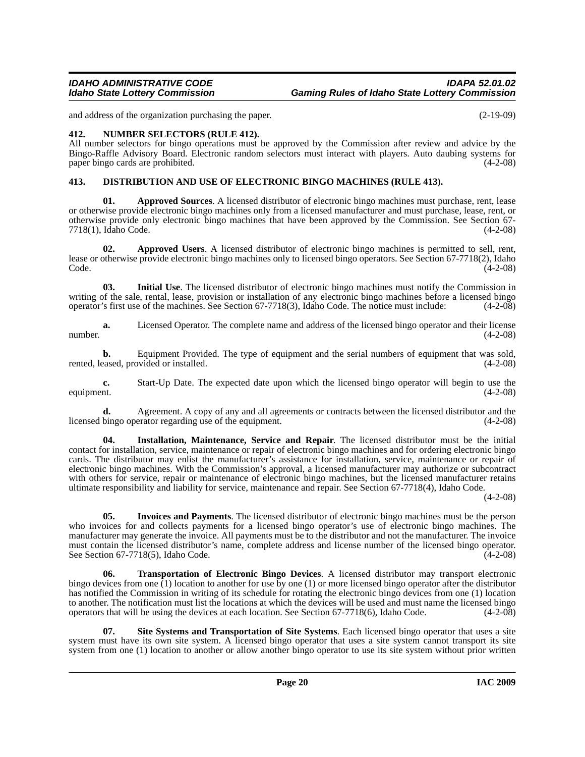and address of the organization purchasing the paper. (2-19-09)

# <span id="page-19-8"></span><span id="page-19-0"></span>**412. NUMBER SELECTORS (RULE 412).**

All number selectors for bingo operations must be approved by the Commission after review and advice by the Bingo-Raffle Advisory Board. Electronic random selectors must interact with players. Auto daubing systems for paper bingo cards are prohibited. (4-2-08)

# <span id="page-19-4"></span><span id="page-19-1"></span>**413. DISTRIBUTION AND USE OF ELECTRONIC BINGO MACHINES (RULE 413).**

<span id="page-19-2"></span>**01. Approved Sources**. A licensed distributor of electronic bingo machines must purchase, rent, lease or otherwise provide electronic bingo machines only from a licensed manufacturer and must purchase, lease, rent, or otherwise provide only electronic bingo machines that have been approved by the Commission. See Section 67- 7718(1), Idaho Code.

<span id="page-19-3"></span>**02. Approved Users**. A licensed distributor of electronic bingo machines is permitted to sell, rent, lease or otherwise provide electronic bingo machines only to licensed bingo operators. See Section 67-7718(2), Idaho Code. (4-2-08)  $\text{Code.}$  (4-2-08)

<span id="page-19-5"></span>**03. Initial Use**. The licensed distributor of electronic bingo machines must notify the Commission in writing of the sale, rental, lease, provision or installation of any electronic bingo machines before a licensed bingo operator's first use of the machines. See Section 67-7718(3), Idaho Code. The notice must include: (4-2-08)

**a.** Licensed Operator. The complete name and address of the licensed bingo operator and their license number.  $(4-2-08)$ 

**b.** Equipment Provided. The type of equipment and the serial numbers of equipment that was sold, rented, leased, provided or installed. (4-2-08)

**c.** Start-Up Date. The expected date upon which the licensed bingo operator will begin to use the equipment. (4-2-08)

**d.** Agreement. A copy of any and all agreements or contracts between the licensed distributor and the licensed bingo operator regarding use of the equipment. (4-2-08)

<span id="page-19-6"></span>**04. Installation, Maintenance, Service and Repair**. The licensed distributor must be the initial contact for installation, service, maintenance or repair of electronic bingo machines and for ordering electronic bingo cards. The distributor may enlist the manufacturer's assistance for installation, service, maintenance or repair of electronic bingo machines. With the Commission's approval, a licensed manufacturer may authorize or subcontract with others for service, repair or maintenance of electronic bingo machines, but the licensed manufacturer retains ultimate responsibility and liability for service, maintenance and repair. See Section 67-7718(4), Idaho Code.

(4-2-08)

<span id="page-19-7"></span>**05. Invoices and Payments**. The licensed distributor of electronic bingo machines must be the person who invoices for and collects payments for a licensed bingo operator's use of electronic bingo machines. The manufacturer may generate the invoice. All payments must be to the distributor and not the manufacturer. The invoice must contain the licensed distributor's name, complete address and license number of the licensed bingo operator. See Section 67-7718(5), Idaho Code. (4-2-08)

<span id="page-19-10"></span>**06. Transportation of Electronic Bingo Devices**. A licensed distributor may transport electronic bingo devices from one (1) location to another for use by one (1) or more licensed bingo operator after the distributor has notified the Commission in writing of its schedule for rotating the electronic bingo devices from one (1) location to another. The notification must list the locations at which the devices will be used and must name the licensed bingo operators that will be using the devices at each location. See Section 67-7718(6), Idaho Code. (4-2-08)

<span id="page-19-9"></span>**07. Site Systems and Transportation of Site Systems**. Each licensed bingo operator that uses a site system must have its own site system. A licensed bingo operator that uses a site system cannot transport its site system from one (1) location to another or allow another bingo operator to use its site system without prior written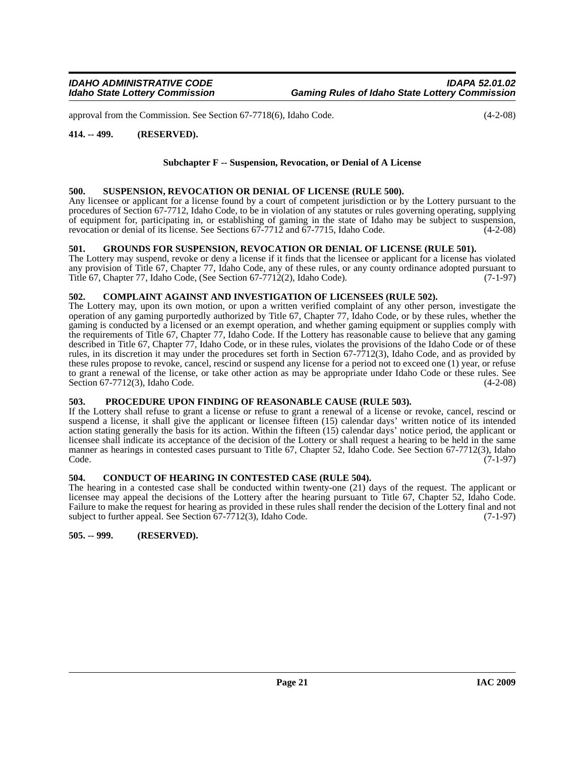approval from the Commission. See Section 67-7718(6), Idaho Code. (4-2-08)

#### <span id="page-20-0"></span>**414. -- 499. (RESERVED).**

#### **Subchapter F -- Suspension, Revocation, or Denial of A License**

#### <span id="page-20-11"></span><span id="page-20-1"></span>**500. SUSPENSION, REVOCATION OR DENIAL OF LICENSE (RULE 500).**

Any licensee or applicant for a license found by a court of competent jurisdiction or by the Lottery pursuant to the procedures of Section 67-7712, Idaho Code, to be in violation of any statutes or rules governing operating, supplying of equipment for, participating in, or establishing of gaming in the state of Idaho may be subject to suspension, revocation or denial of its license. See Sections 67-7712 and 67-7715. Idaho Code. (4-2-08) revocation or denial of its license. See Sections 67-7712 and 67-7715, Idaho Code.

#### <span id="page-20-9"></span><span id="page-20-2"></span>**501. GROUNDS FOR SUSPENSION, REVOCATION OR DENIAL OF LICENSE (RULE 501).**

The Lottery may suspend, revoke or deny a license if it finds that the licensee or applicant for a license has violated any provision of Title 67, Chapter 77, Idaho Code, any of these rules, or any county ordinance adopted pursuant to Title 67, Chapter 77, Idaho Code, (See Section 67-7712(2), Idaho Code). (7-1-97)

#### <span id="page-20-7"></span><span id="page-20-3"></span>**502. COMPLAINT AGAINST AND INVESTIGATION OF LICENSEES (RULE 502).**

The Lottery may, upon its own motion, or upon a written verified complaint of any other person, investigate the operation of any gaming purportedly authorized by Title 67, Chapter 77, Idaho Code, or by these rules, whether the gaming is conducted by a licensed or an exempt operation, and whether gaming equipment or supplies comply with the requirements of Title 67, Chapter 77, Idaho Code. If the Lottery has reasonable cause to believe that any gaming described in Title 67, Chapter 77, Idaho Code, or in these rules, violates the provisions of the Idaho Code or of these rules, in its discretion it may under the procedures set forth in Section 67-7712(3), Idaho Code, and as provided by these rules propose to revoke, cancel, rescind or suspend any license for a period not to exceed one (1) year, or refuse to grant a renewal of the license, or take other action as may be appropriate under Idaho Code or these rules. See Section 67-7712(3), Idaho Code. (4-2-08)

### <span id="page-20-10"></span><span id="page-20-4"></span>**503. PROCEDURE UPON FINDING OF REASONABLE CAUSE (RULE 503).**

If the Lottery shall refuse to grant a license or refuse to grant a renewal of a license or revoke, cancel, rescind or suspend a license, it shall give the applicant or licensee fifteen (15) calendar days' written notice of its intended action stating generally the basis for its action. Within the fifteen (15) calendar days' notice period, the applicant or licensee shall indicate its acceptance of the decision of the Lottery or shall request a hearing to be held in the same manner as hearings in contested cases pursuant to Title 67, Chapter 52, Idaho Code. See Section 67-7712(3), Idaho Code. Code. (7-1-97)

#### <span id="page-20-8"></span><span id="page-20-5"></span>**504. CONDUCT OF HEARING IN CONTESTED CASE (RULE 504).**

The hearing in a contested case shall be conducted within twenty-one (21) days of the request. The applicant or licensee may appeal the decisions of the Lottery after the hearing pursuant to Title 67, Chapter 52, Idaho Code. Failure to make the request for hearing as provided in these rules shall render the decision of the Lottery final and not subject to further appeal. See Section 67-7712(3), Idaho Code. (7-1-97)

<span id="page-20-6"></span>**505. -- 999. (RESERVED).**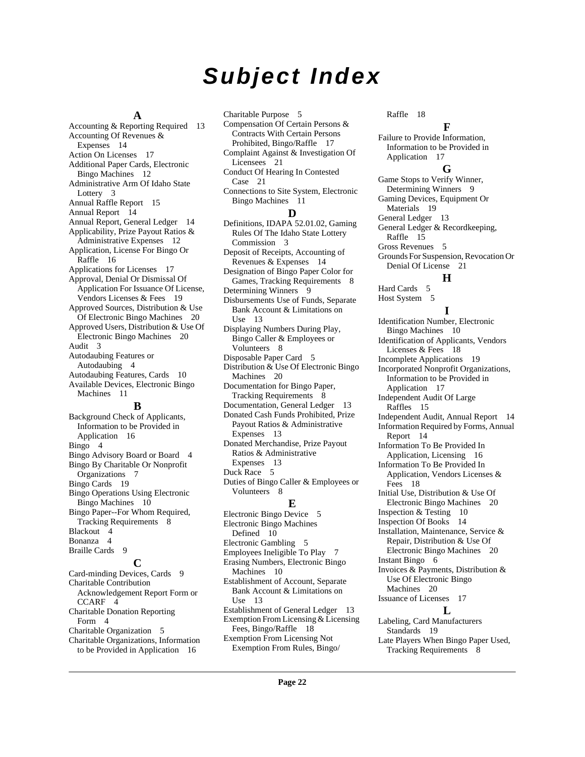# *Subject Index*

#### **A**

[Accounting & Reporting Required](#page-12-7) 13 [Accounting Of Revenues &](#page-13-4)  Expenses 14 [Action On Licenses](#page-16-4) 17 [Additional Paper Cards, Electronic](#page-11-3)  Bingo Machines 12 [Administrative Arm Of Idaho State](#page-2-10)  Lottery 3 [Annual Raffle Report](#page-14-9) 15 [Annual Report](#page-13-5) 14 [Annual Report, General Ledger](#page-13-6) 14 [Applicability, Prize Payout Ratios &](#page-11-4)  Administrative Expenses 12 [Application, License For Bingo Or](#page-15-4)  Raffle 16 [Applications for Licenses](#page-16-5) 17 Approval, Denial Or Dismissal Of [Application For Issuance Of License,](#page-18-5)  Vendors Licenses & Fees 19 [Approved Sources, Distribution & Use](#page-19-2)  Of Electronic Bingo Machines 20 [Approved Users, Distribution & Use Of](#page-19-3)  Electronic Bingo Machines 20 [Audit](#page-2-11) 3 [Autodaubing Features or](#page-3-0)  Autodaubing 4 [Autodaubing Features, Cards](#page-9-2) 10 [Available Devices, Electronic Bingo](#page-10-1)  Machines 11 **B**

[Background Check of Applicants,](#page-15-5)  Information to be Provided in Application 16 [Bingo](#page-3-1) 4 [Bingo Advisory Board or Board](#page-3-2) 4 [Bingo By Charitable Or Nonprofit](#page-6-6)  Organizations 7 [Bingo Cards](#page-18-6) 19 [Bingo Operations Using Electronic](#page-9-3)  Bingo Machines 10 [Bingo Paper--For Whom Required,](#page-7-3)  Tracking Requirements 8 [Blackout](#page-3-3) 4 [Bonanza](#page-3-4) 4 [Braille Cards](#page-8-2) 9 **C** [Card-minding Devices, Cards](#page-8-3) 9 Charitable Contribution [Acknowledgement Report Form or](#page-3-5)  CCARF 4 [Charitable Donation Reporting](#page-3-6) 

Form 4 [Charitable Organization](#page-4-0) 5 [Charitable Organizations, Information](#page-15-6)  to be Provided in Application 16

[Charitable Purpose](#page-4-1) 5 [Compensation Of Certain Persons &](#page-16-6)  Contracts With Certain Persons Prohibited, Bingo/Raffle 17 [Complaint Against & Investigation Of](#page-20-7)  Licensees 21 [Conduct Of Hearing In Contested](#page-20-8)  Case 21 [Connections to Site System, Electronic](#page-10-2)  Bingo Machines 11 **D** [Definitions, IDAPA 52.01.02, Gaming](#page-2-12)  Rules Of The Idaho State Lottery Commission 3 [Deposit of Receipts, Accounting of](#page-13-7)  Revenues & Expenses 14 [Designation of Bingo Paper Color for](#page-7-4)  Games, Tracking Requirements 8 [Determining Winners](#page-8-4) 9 [Disbursements Use of Funds, Separate](#page-12-8)  Bank Account & Limitations on Use 13 [Displaying Numbers During Play,](#page-7-5)  Bingo Caller & Employees or Volunteers 8 [Disposable Paper Card](#page-4-2) 5 [Distribution & Use Of Electronic Bingo](#page-19-4)  Machines 20 [Documentation for Bingo Paper,](#page-7-6)  Tracking Requirements 8 [Documentation, General Ledger](#page-12-9) 13 [Donated Cash Funds Prohibited, Prize](#page-12-10)  Payout Ratios & Administrative Expenses 13 [Donated Merchandise, Prize Payout](#page-12-11)  Ratios & Administrative Expenses 13 [Duck Race](#page-4-3) 5 [Duties of Bingo Caller & Employees or](#page-7-7)  Volunteers 8 **E** [Electronic Bingo Device](#page-4-4) 5 [Electronic Bingo Machines](#page-9-4)  Defined 10 [Electronic Gambling](#page-4-5) 5 [Employees Ineligible To Play](#page-6-7) 7 [Erasing Numbers, Electronic Bingo](#page-9-5)  Machines 10 [Establishment of Account, Separate](#page-12-12)  Bank Account & Limitations on Use 13 [Establishment of General Ledger](#page-12-13) 13 [Exemption From Licensing & Licensing](#page-17-6)  Fees, Bingo/Raffle 18 [Exemption From Licensing Not](#page-17-7) 

Exemption From Rules, Bingo/

[Raffle](#page-17-7) 18

#### **F**

[Failure to Provide Information,](#page-16-7)  Information to be Provided in Application 17 **G** [Game Stops to Verify Winner,](#page-8-5)  Determining Winners 9 [Gaming Devices, Equipment Or](#page-18-7)  Materials 19 [General Ledger](#page-12-14) 13 [General Ledger & Recordkeeping,](#page-14-10)  Raffle 15 [Gross Revenues](#page-4-6) 5 [Grounds For Suspension, Revocation Or](#page-20-9) 

#### Denial Of License 21 **H**

[Hard Cards](#page-4-7) 5 [Host System](#page-4-8) 5

#### **I**

[Identification Number, Electronic](#page-9-6)  Bingo Machines 10 [Identification of Applicants, Vendors](#page-17-8)  Licenses & Fees 18 [Incomplete Applications](#page-18-8) 19 [Incorporated Nonprofit Organizations,](#page-16-8)  Information to be Provided in Application 17 [Independent Audit Of Large](#page-14-11)  Raffles 15 [Independent Audit, Annual Report](#page-13-8) 14 [Information Required by Forms, Annual](#page-13-9)  Report 14 [Information To Be Provided In](#page-15-7)  Application, Licensing 16 Information To Be Provided In [Application, Vendors Licenses &](#page-17-9)  Fees 18 [Initial Use, Distribution & Use Of](#page-19-5)  Electronic Bingo Machines 20 [Inspection & Testing](#page-9-7) 10 [Inspection Of Books](#page-13-10) 14 [Installation, Maintenance, Service &](#page-19-6)  Repair, Distribution & Use Of Electronic Bingo Machines 20 [Instant Bingo](#page-5-0) 6 [Invoices & Payments, Distribution &](#page-19-7)  Use Of Electronic Bingo Machines 20 [Issuance of Licenses](#page-16-9) 17 **L** [Labeling, Card Manufacturers](#page-18-9)  Standards 19 [Late Players When Bingo Paper Used,](#page-7-8) 

[Tracking Requirements](#page-7-8) 8